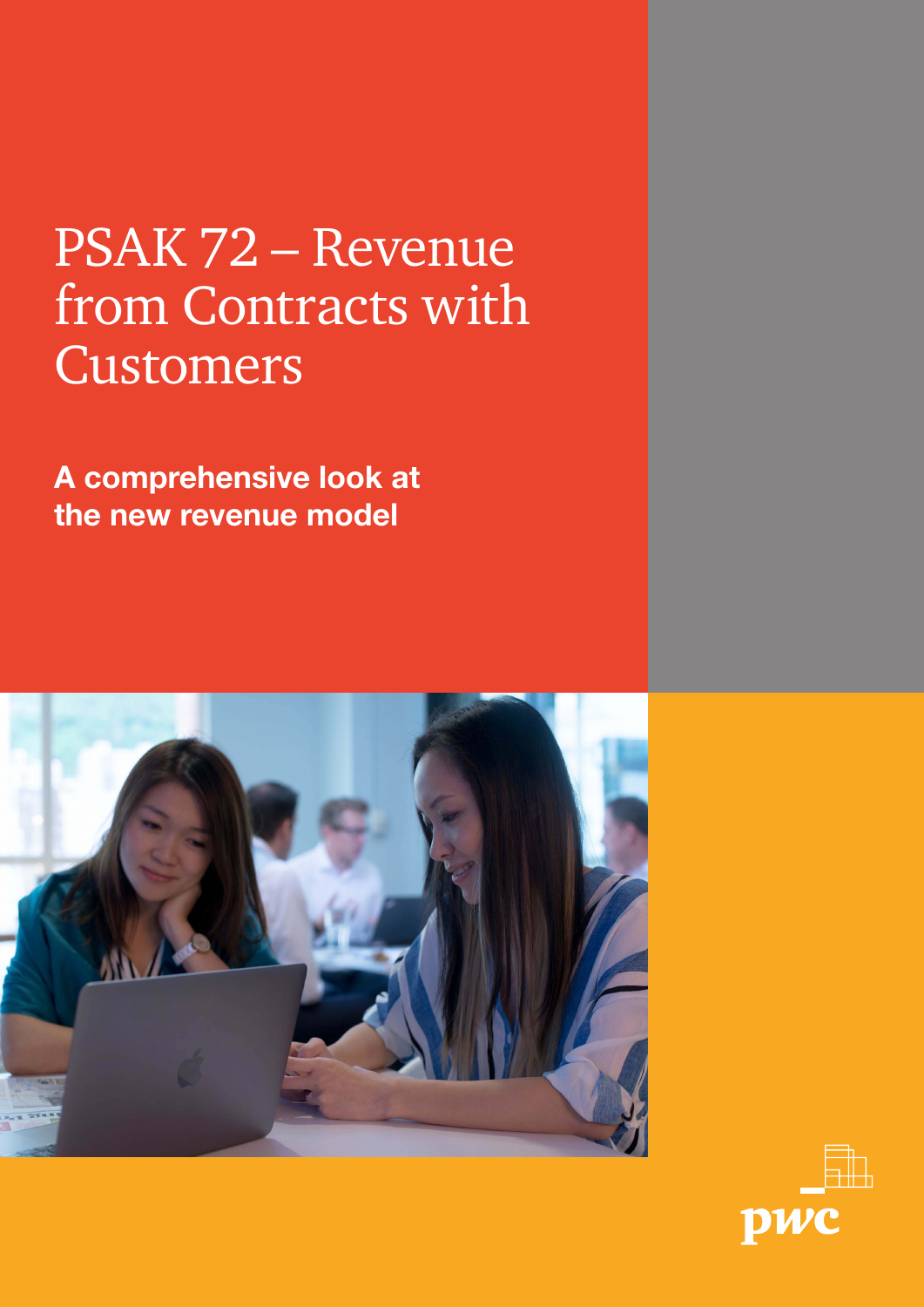### PSAK 72 – Revenue from Contracts with Customers

A comprehensive look at the new revenue model



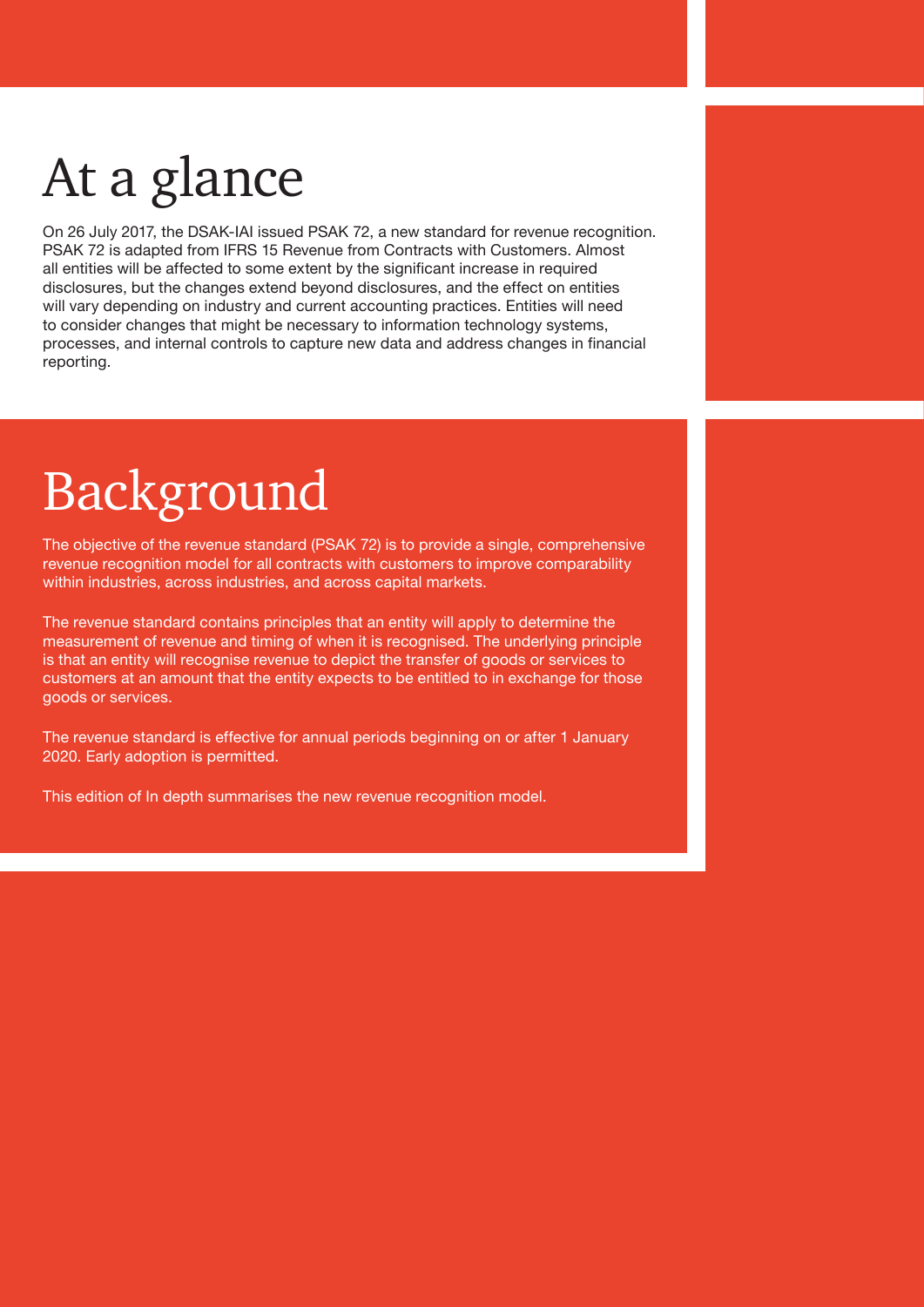## At a glance

On 26 July 2017, the DSAK-IAI issued PSAK 72, a new standard for revenue recognition. PSAK 72 is adapted from IFRS 15 Revenue from Contracts with Customers. Almost all entities will be affected to some extent by the significant increase in required disclosures, but the changes extend beyond disclosures, and the effect on entities will vary depending on industry and current accounting practices. Entities will need to consider changes that might be necessary to information technology systems, processes, and internal controls to capture new data and address changes in financial reporting.

### Background

The objective of the revenue standard (PSAK 72) is to provide a single, comprehensive revenue recognition model for all contracts with customers to improve comparability within industries, across industries, and across capital markets.

The revenue standard contains principles that an entity will apply to determine the measurement of revenue and timing of when it is recognised. The underlying principle is that an entity will recognise revenue to depict the transfer of goods or services to customers at an amount that the entity expects to be entitled to in exchange for those goods or services.

The revenue standard is effective for annual periods beginning on or after 1 January 2020. Early adoption is permitted.

This edition of In depth summarises the new revenue recognition model.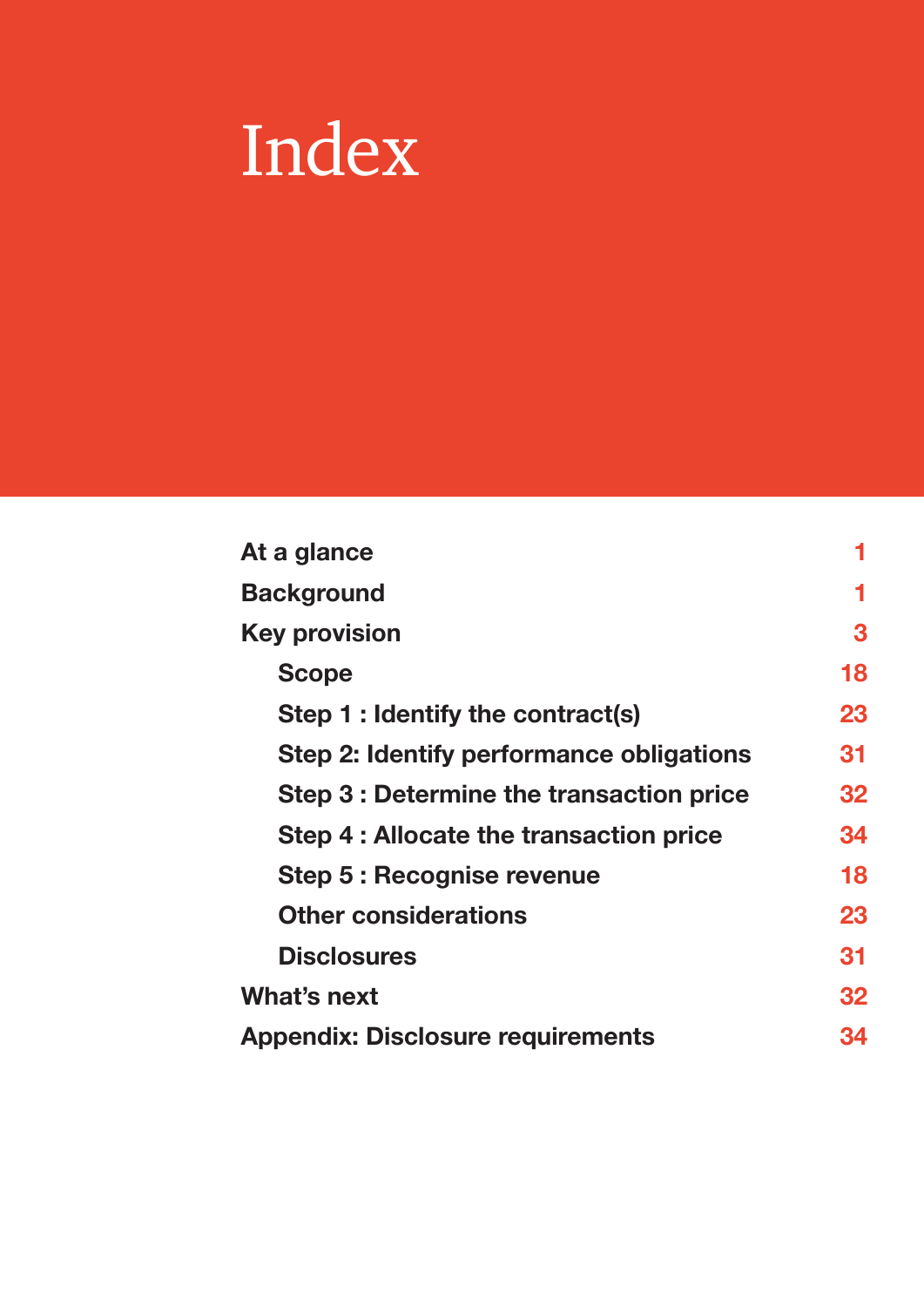# Index

| At a glance                              | 1  |
|------------------------------------------|----|
| <b>Background</b>                        | 1  |
| <b>Key provision</b>                     | 3  |
| <b>Scope</b>                             | 18 |
| Step 1 : Identify the contract(s)        | 23 |
| Step 2: Identify performance obligations | 31 |
| Step 3 : Determine the transaction price | 32 |
| Step 4 : Allocate the transaction price  | 34 |
| Step 5 : Recognise revenue               | 18 |
| <b>Other considerations</b>              |    |
| <b>Disclosures</b>                       | 31 |
| What's next                              | 32 |
| <b>Appendix: Disclosure requirements</b> |    |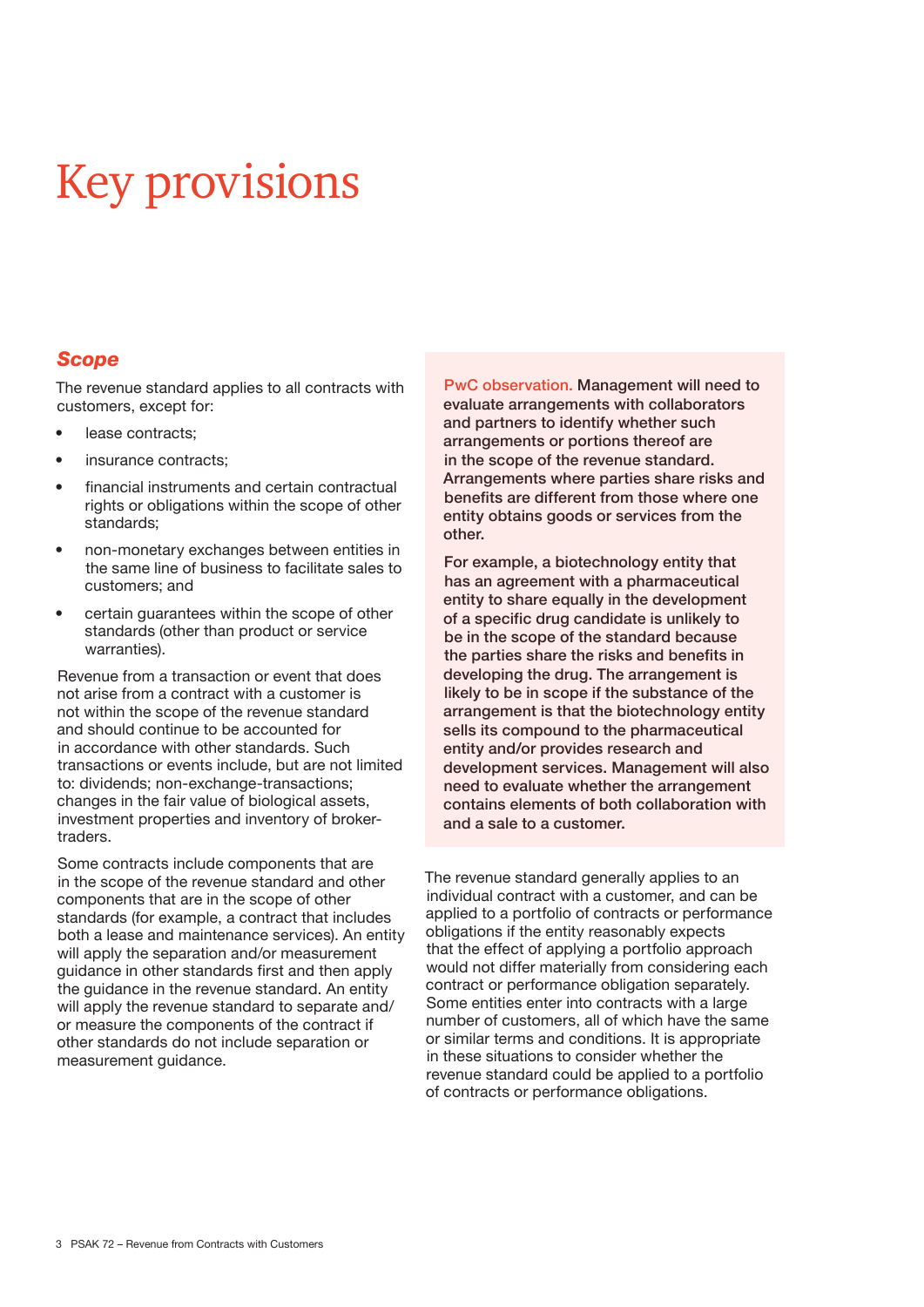### Key provisions

#### *Scope*

The revenue standard applies to all contracts with customers, except for:

- lease contracts;
- insurance contracts;
- financial instruments and certain contractual rights or obligations within the scope of other standards;
- non-monetary exchanges between entities in the same line of business to facilitate sales to customers; and
- certain guarantees within the scope of other standards (other than product or service warranties).

Revenue from a transaction or event that does not arise from a contract with a customer is not within the scope of the revenue standard and should continue to be accounted for in accordance with other standards. Such transactions or events include, but are not limited to: dividends; non-exchange-transactions; changes in the fair value of biological assets, investment properties and inventory of brokertraders.

Some contracts include components that are in the scope of the revenue standard and other components that are in the scope of other standards (for example, a contract that includes both a lease and maintenance services). An entity will apply the separation and/or measurement guidance in other standards first and then apply the guidance in the revenue standard. An entity will apply the revenue standard to separate and/ or measure the components of the contract if other standards do not include separation or measurement guidance.

PwC observation. Management will need to evaluate arrangements with collaborators and partners to identify whether such arrangements or portions thereof are in the scope of the revenue standard. Arrangements where parties share risks and benefits are different from those where one entity obtains goods or services from the other.

For example, a biotechnology entity that has an agreement with a pharmaceutical entity to share equally in the development of a specific drug candidate is unlikely to be in the scope of the standard because the parties share the risks and benefits in developing the drug. The arrangement is likely to be in scope if the substance of the arrangement is that the biotechnology entity sells its compound to the pharmaceutical entity and/or provides research and development services. Management will also need to evaluate whether the arrangement contains elements of both collaboration with and a sale to a customer.

The revenue standard generally applies to an individual contract with a customer, and can be applied to a portfolio of contracts or performance obligations if the entity reasonably expects that the effect of applying a portfolio approach would not differ materially from considering each contract or performance obligation separately. Some entities enter into contracts with a large number of customers, all of which have the same or similar terms and conditions. It is appropriate in these situations to consider whether the revenue standard could be applied to a portfolio of contracts or performance obligations.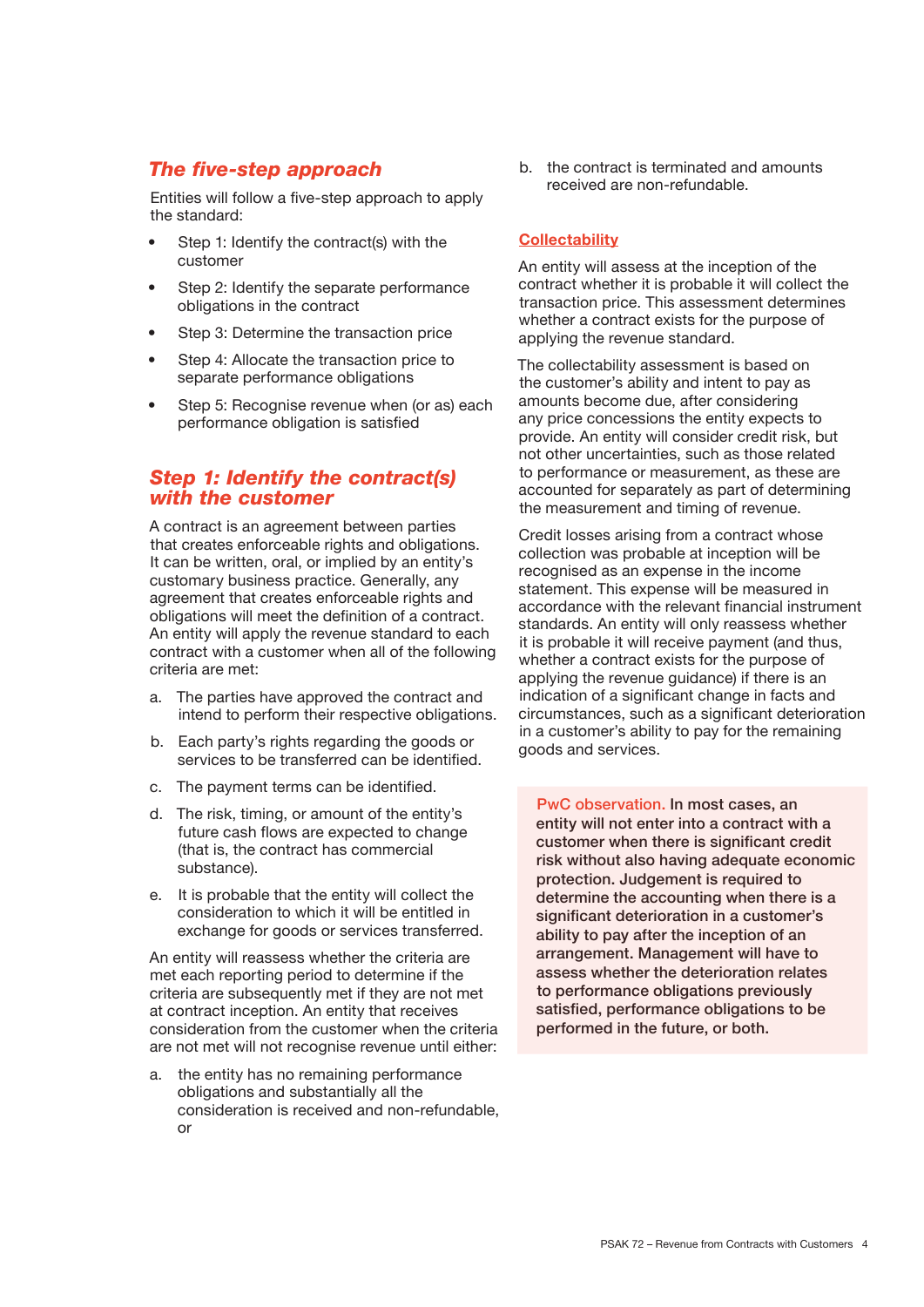#### *The five-step approach*

Entities will follow a five-step approach to apply the standard:

- Step 1: Identify the contract(s) with the customer
- Step 2: Identify the separate performance obligations in the contract
- Step 3: Determine the transaction price
- Step 4: Allocate the transaction price to separate performance obligations
- Step 5: Recognise revenue when (or as) each performance obligation is satisfied

#### *Step 1: Identify the contract(s) with the customer*

A contract is an agreement between parties that creates enforceable rights and obligations. It can be written, oral, or implied by an entity's customary business practice. Generally, any agreement that creates enforceable rights and obligations will meet the definition of a contract. An entity will apply the revenue standard to each contract with a customer when all of the following criteria are met:

- a. The parties have approved the contract and intend to perform their respective obligations.
- b. Each party's rights regarding the goods or services to be transferred can be identified.
- c. The payment terms can be identified.
- d. The risk, timing, or amount of the entity's future cash flows are expected to change (that is, the contract has commercial substance).
- e. It is probable that the entity will collect the consideration to which it will be entitled in exchange for goods or services transferred.

An entity will reassess whether the criteria are met each reporting period to determine if the criteria are subsequently met if they are not met at contract inception. An entity that receives consideration from the customer when the criteria are not met will not recognise revenue until either:

a. the entity has no remaining performance obligations and substantially all the consideration is received and non-refundable, or

b. the contract is terminated and amounts received are non-refundable.

#### **Collectability**

An entity will assess at the inception of the contract whether it is probable it will collect the transaction price. This assessment determines whether a contract exists for the purpose of applying the revenue standard.

The collectability assessment is based on the customer's ability and intent to pay as amounts become due, after considering any price concessions the entity expects to provide. An entity will consider credit risk, but not other uncertainties, such as those related to performance or measurement, as these are accounted for separately as part of determining the measurement and timing of revenue.

Credit losses arising from a contract whose collection was probable at inception will be recognised as an expense in the income statement. This expense will be measured in accordance with the relevant financial instrument standards. An entity will only reassess whether it is probable it will receive payment (and thus, whether a contract exists for the purpose of applying the revenue guidance) if there is an indication of a significant change in facts and circumstances, such as a significant deterioration in a customer's ability to pay for the remaining goods and services.

PwC observation. In most cases, an entity will not enter into a contract with a customer when there is significant credit risk without also having adequate economic protection. Judgement is required to determine the accounting when there is a significant deterioration in a customer's ability to pay after the inception of an arrangement. Management will have to assess whether the deterioration relates to performance obligations previously satisfied, performance obligations to be performed in the future, or both.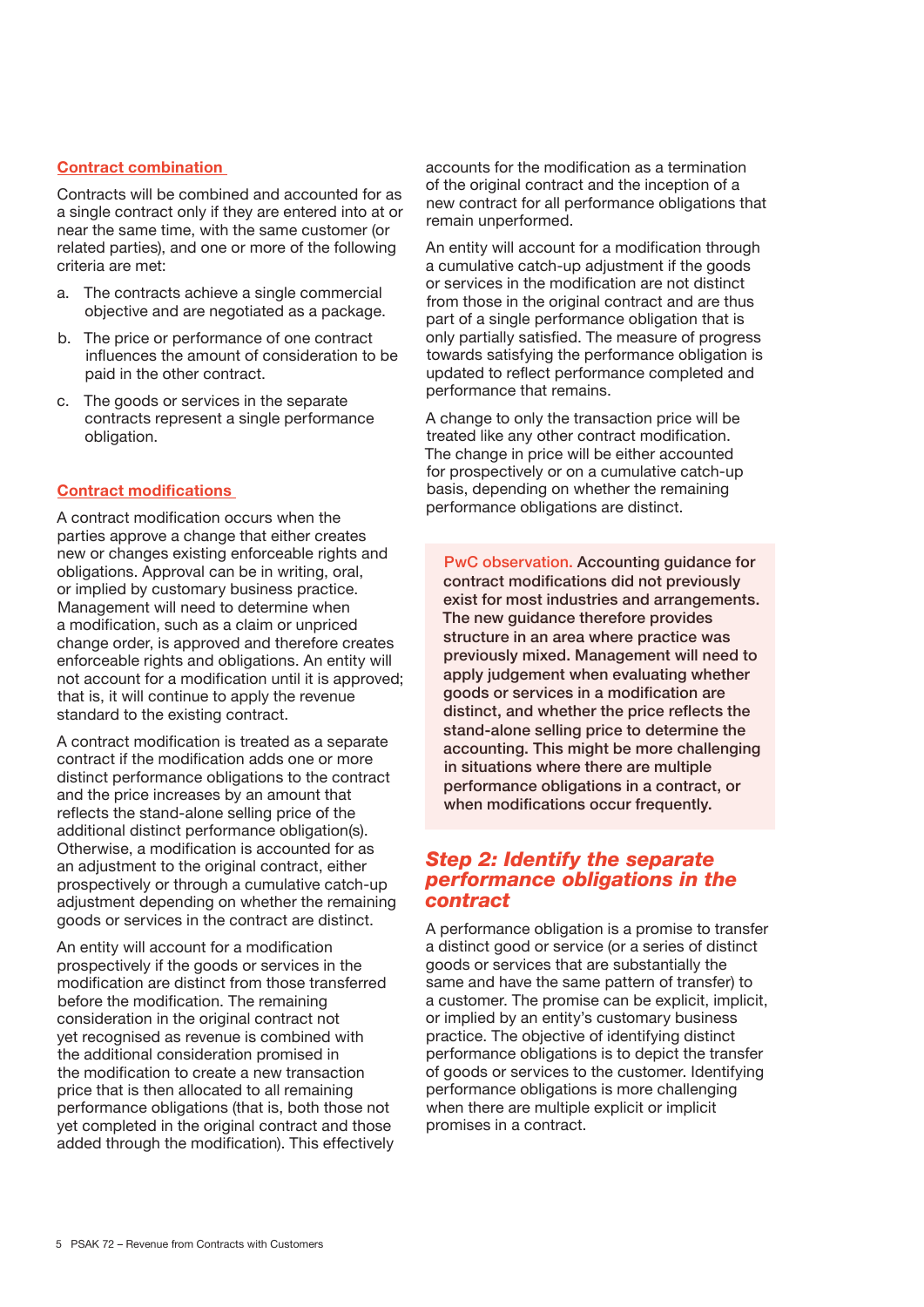#### Contract combination

Contracts will be combined and accounted for as a single contract only if they are entered into at or near the same time, with the same customer (or related parties), and one or more of the following criteria are met:

- a. The contracts achieve a single commercial objective and are negotiated as a package.
- b. The price or performance of one contract influences the amount of consideration to be paid in the other contract.
- c. The goods or services in the separate contracts represent a single performance obligation.

#### Contract modifications

A contract modification occurs when the parties approve a change that either creates new or changes existing enforceable rights and obligations. Approval can be in writing, oral, or implied by customary business practice. Management will need to determine when a modification, such as a claim or unpriced change order, is approved and therefore creates enforceable rights and obligations. An entity will not account for a modification until it is approved; that is, it will continue to apply the revenue standard to the existing contract.

A contract modification is treated as a separate contract if the modification adds one or more distinct performance obligations to the contract and the price increases by an amount that reflects the stand-alone selling price of the additional distinct performance obligation(s). Otherwise, a modification is accounted for as an adjustment to the original contract, either prospectively or through a cumulative catch-up adjustment depending on whether the remaining goods or services in the contract are distinct.

An entity will account for a modification prospectively if the goods or services in the modification are distinct from those transferred before the modification. The remaining consideration in the original contract not yet recognised as revenue is combined with the additional consideration promised in the modification to create a new transaction price that is then allocated to all remaining performance obligations (that is, both those not yet completed in the original contract and those added through the modification). This effectively accounts for the modification as a termination of the original contract and the inception of a new contract for all performance obligations that remain unperformed.

An entity will account for a modification through a cumulative catch-up adjustment if the goods or services in the modification are not distinct from those in the original contract and are thus part of a single performance obligation that is only partially satisfied. The measure of progress towards satisfying the performance obligation is updated to reflect performance completed and performance that remains.

A change to only the transaction price will be treated like any other contract modification. The change in price will be either accounted for prospectively or on a cumulative catch-up basis, depending on whether the remaining performance obligations are distinct.

PwC observation. Accounting guidance for contract modifications did not previously exist for most industries and arrangements. The new guidance therefore provides structure in an area where practice was previously mixed. Management will need to apply judgement when evaluating whether goods or services in a modification are distinct, and whether the price reflects the stand-alone selling price to determine the accounting. This might be more challenging in situations where there are multiple performance obligations in a contract, or when modifications occur frequently.

#### *Step 2: Identify the separate performance obligations in the contract*

A performance obligation is a promise to transfer a distinct good or service (or a series of distinct goods or services that are substantially the same and have the same pattern of transfer) to a customer. The promise can be explicit, implicit, or implied by an entity's customary business practice. The objective of identifying distinct performance obligations is to depict the transfer of goods or services to the customer. Identifying performance obligations is more challenging when there are multiple explicit or implicit promises in a contract.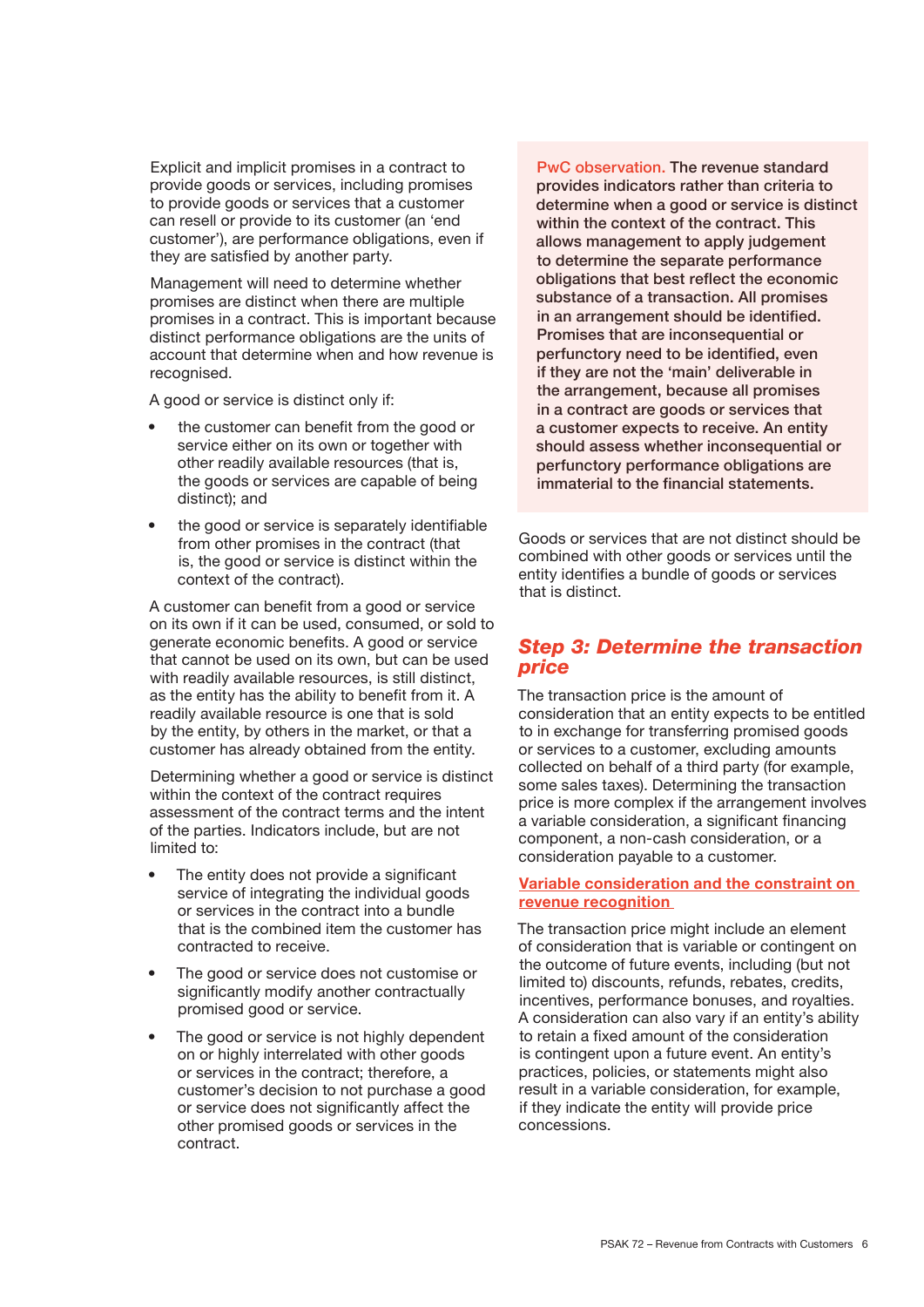Explicit and implicit promises in a contract to provide goods or services, including promises to provide goods or services that a customer can resell or provide to its customer (an 'end customer'), are performance obligations, even if they are satisfied by another party.

Management will need to determine whether promises are distinct when there are multiple promises in a contract. This is important because distinct performance obligations are the units of account that determine when and how revenue is recognised.

A good or service is distinct only if:

- the customer can benefit from the good or service either on its own or together with other readily available resources (that is, the goods or services are capable of being distinct); and
- the good or service is separately identifiable from other promises in the contract (that is, the good or service is distinct within the context of the contract).

A customer can benefit from a good or service on its own if it can be used, consumed, or sold to generate economic benefits. A good or service that cannot be used on its own, but can be used with readily available resources, is still distinct, as the entity has the ability to benefit from it. A readily available resource is one that is sold by the entity, by others in the market, or that a customer has already obtained from the entity.

Determining whether a good or service is distinct within the context of the contract requires assessment of the contract terms and the intent of the parties. Indicators include, but are not limited to:

- The entity does not provide a significant service of integrating the individual goods or services in the contract into a bundle that is the combined item the customer has contracted to receive.
- The good or service does not customise or significantly modify another contractually promised good or service.
- The good or service is not highly dependent on or highly interrelated with other goods or services in the contract; therefore, a customer's decision to not purchase a good or service does not significantly affect the other promised goods or services in the contract.

PwC observation. The revenue standard provides indicators rather than criteria to determine when a good or service is distinct within the context of the contract. This allows management to apply judgement to determine the separate performance obligations that best reflect the economic substance of a transaction. All promises in an arrangement should be identified. Promises that are inconsequential or perfunctory need to be identified, even if they are not the 'main' deliverable in the arrangement, because all promises in a contract are goods or services that a customer expects to receive. An entity should assess whether inconsequential or perfunctory performance obligations are immaterial to the financial statements.

Goods or services that are not distinct should be combined with other goods or services until the entity identifies a bundle of goods or services that is distinct.

#### *Step 3: Determine the transaction price*

The transaction price is the amount of consideration that an entity expects to be entitled to in exchange for transferring promised goods or services to a customer, excluding amounts collected on behalf of a third party (for example, some sales taxes). Determining the transaction price is more complex if the arrangement involves a variable consideration, a significant financing component, a non-cash consideration, or a consideration payable to a customer.

#### Variable consideration and the constraint on revenue recognition

The transaction price might include an element of consideration that is variable or contingent on the outcome of future events, including (but not limited to) discounts, refunds, rebates, credits, incentives, performance bonuses, and royalties. A consideration can also vary if an entity's ability to retain a fixed amount of the consideration is contingent upon a future event. An entity's practices, policies, or statements might also result in a variable consideration, for example, if they indicate the entity will provide price concessions.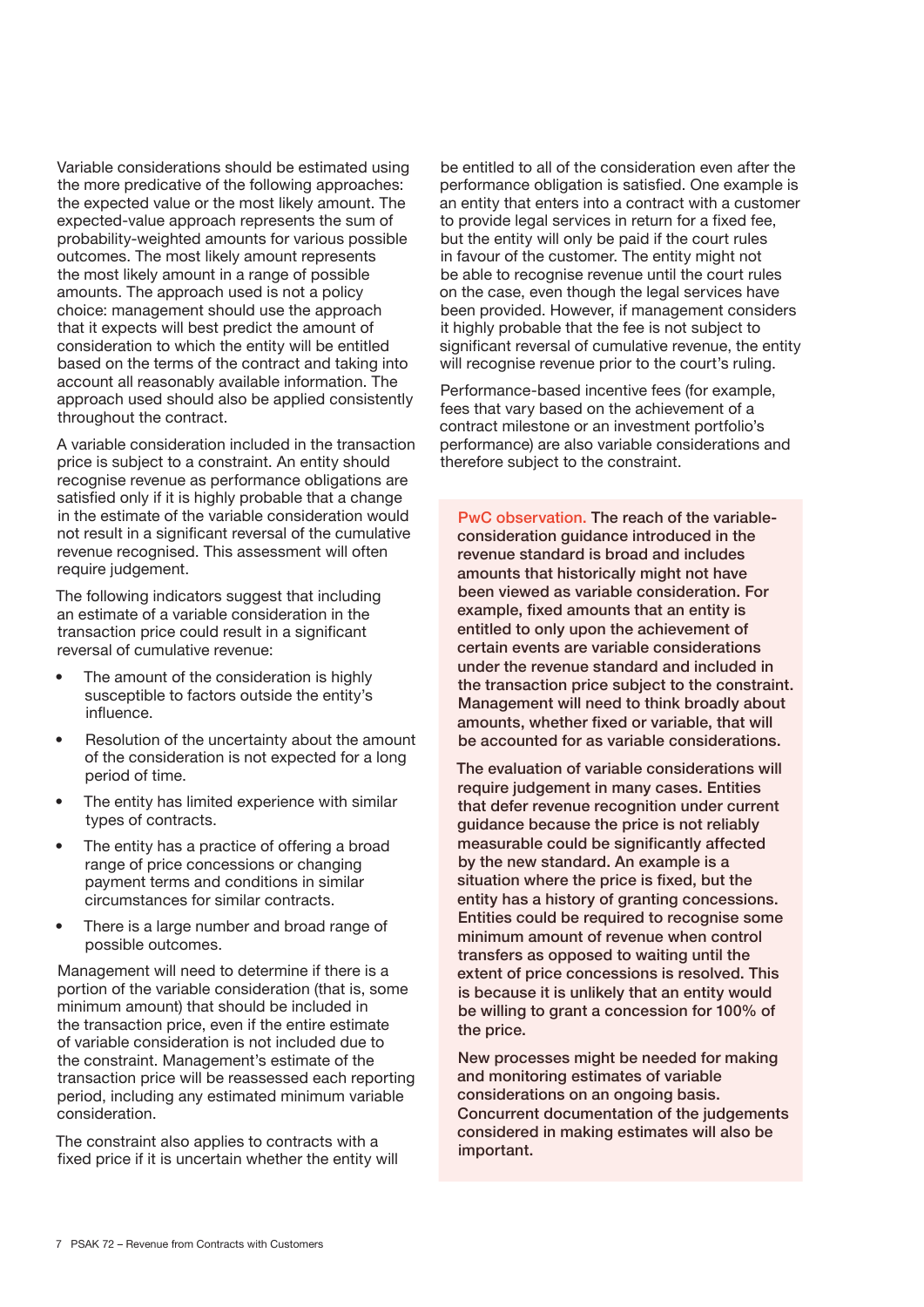Variable considerations should be estimated using the more predicative of the following approaches: the expected value or the most likely amount. The expected-value approach represents the sum of probability-weighted amounts for various possible outcomes. The most likely amount represents the most likely amount in a range of possible amounts. The approach used is not a policy choice: management should use the approach that it expects will best predict the amount of consideration to which the entity will be entitled based on the terms of the contract and taking into account all reasonably available information. The approach used should also be applied consistently throughout the contract.

A variable consideration included in the transaction price is subject to a constraint. An entity should recognise revenue as performance obligations are satisfied only if it is highly probable that a change in the estimate of the variable consideration would not result in a significant reversal of the cumulative revenue recognised. This assessment will often require judgement.

The following indicators suggest that including an estimate of a variable consideration in the transaction price could result in a significant reversal of cumulative revenue:

- The amount of the consideration is highly susceptible to factors outside the entity's influence.
- Resolution of the uncertainty about the amount of the consideration is not expected for a long period of time.
- The entity has limited experience with similar types of contracts.
- The entity has a practice of offering a broad range of price concessions or changing payment terms and conditions in similar circumstances for similar contracts.
- There is a large number and broad range of possible outcomes.

Management will need to determine if there is a portion of the variable consideration (that is, some minimum amount) that should be included in the transaction price, even if the entire estimate of variable consideration is not included due to the constraint. Management's estimate of the transaction price will be reassessed each reporting period, including any estimated minimum variable consideration.

The constraint also applies to contracts with a fixed price if it is uncertain whether the entity will be entitled to all of the consideration even after the performance obligation is satisfied. One example is an entity that enters into a contract with a customer to provide legal services in return for a fixed fee, but the entity will only be paid if the court rules in favour of the customer. The entity might not be able to recognise revenue until the court rules on the case, even though the legal services have been provided. However, if management considers it highly probable that the fee is not subject to significant reversal of cumulative revenue, the entity will recognise revenue prior to the court's ruling.

Performance-based incentive fees (for example, fees that vary based on the achievement of a contract milestone or an investment portfolio's performance) are also variable considerations and therefore subject to the constraint.

PwC observation. The reach of the variableconsideration guidance introduced in the revenue standard is broad and includes amounts that historically might not have been viewed as variable consideration. For example, fixed amounts that an entity is entitled to only upon the achievement of certain events are variable considerations under the revenue standard and included in the transaction price subject to the constraint. Management will need to think broadly about amounts, whether fixed or variable, that will be accounted for as variable considerations.

The evaluation of variable considerations will require judgement in many cases. Entities that defer revenue recognition under current guidance because the price is not reliably measurable could be significantly affected by the new standard. An example is a situation where the price is fixed, but the entity has a history of granting concessions. Entities could be required to recognise some minimum amount of revenue when control transfers as opposed to waiting until the extent of price concessions is resolved. This is because it is unlikely that an entity would be willing to grant a concession for 100% of the price.

New processes might be needed for making and monitoring estimates of variable considerations on an ongoing basis. Concurrent documentation of the judgements considered in making estimates will also be important.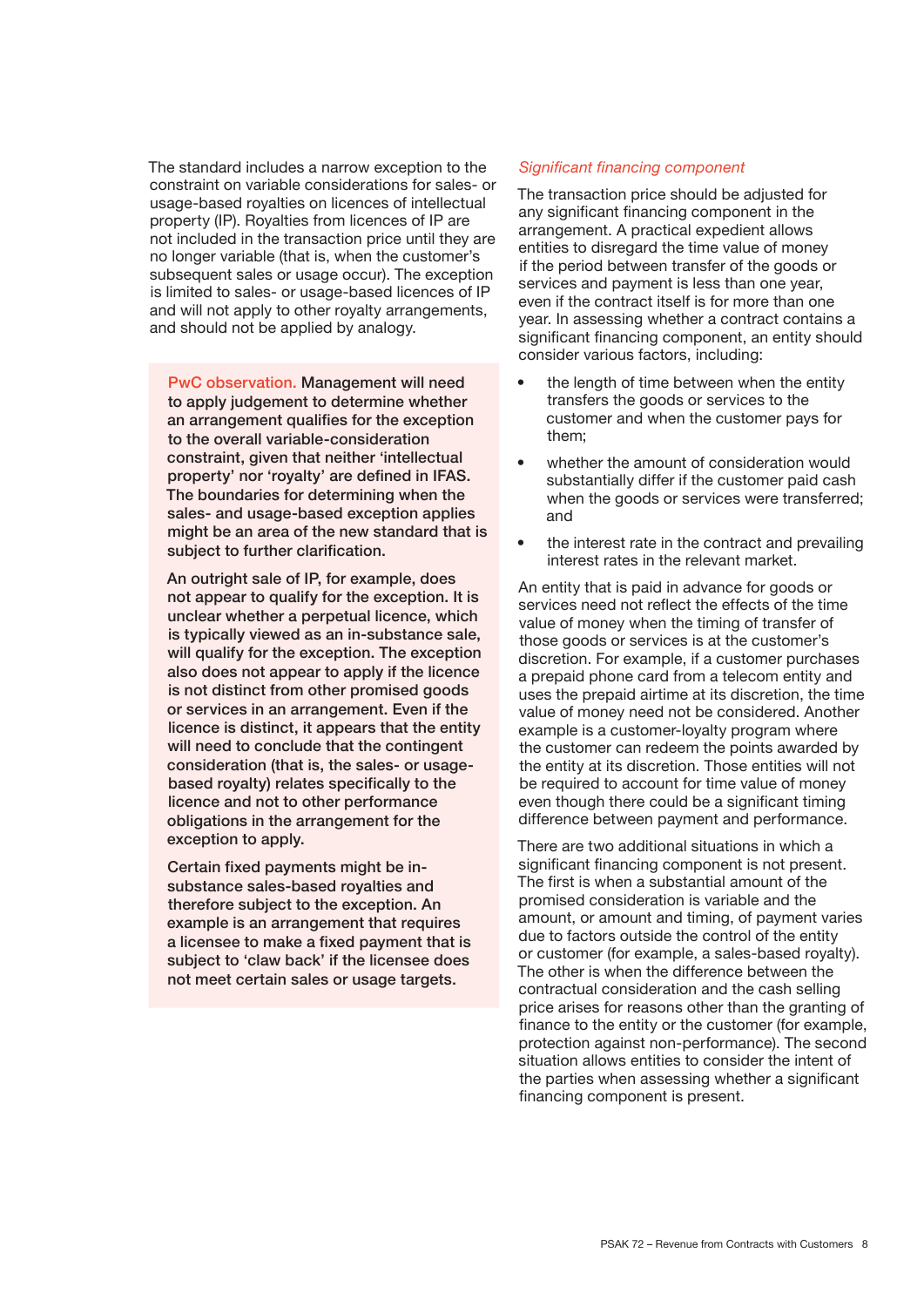The standard includes a narrow exception to the constraint on variable considerations for sales- or usage-based royalties on licences of intellectual property (IP). Royalties from licences of IP are not included in the transaction price until they are no longer variable (that is, when the customer's subsequent sales or usage occur). The exception is limited to sales- or usage-based licences of IP and will not apply to other royalty arrangements, and should not be applied by analogy.

PwC observation. Management will need to apply judgement to determine whether an arrangement qualifies for the exception to the overall variable-consideration constraint, given that neither 'intellectual property' nor 'royalty' are defined in IFAS. The boundaries for determining when the sales- and usage-based exception applies might be an area of the new standard that is subject to further clarification.

An outright sale of IP, for example, does not appear to qualify for the exception. It is unclear whether a perpetual licence, which is typically viewed as an in-substance sale, will qualify for the exception. The exception also does not appear to apply if the licence is not distinct from other promised goods or services in an arrangement. Even if the licence is distinct, it appears that the entity will need to conclude that the contingent consideration (that is, the sales- or usagebased royalty) relates specifically to the licence and not to other performance obligations in the arrangement for the exception to apply.

Certain fixed payments might be insubstance sales-based royalties and therefore subject to the exception. An example is an arrangement that requires a licensee to make a fixed payment that is subject to 'claw back' if the licensee does not meet certain sales or usage targets.

#### *Significant financing component*

The transaction price should be adjusted for any significant financing component in the arrangement. A practical expedient allows entities to disregard the time value of money if the period between transfer of the goods or services and payment is less than one vear. even if the contract itself is for more than one year. In assessing whether a contract contains a significant financing component, an entity should consider various factors, including:

- the length of time between when the entity transfers the goods or services to the customer and when the customer pays for them;
- whether the amount of consideration would substantially differ if the customer paid cash when the goods or services were transferred; and
- the interest rate in the contract and prevailing interest rates in the relevant market.

An entity that is paid in advance for goods or services need not reflect the effects of the time value of money when the timing of transfer of those goods or services is at the customer's discretion. For example, if a customer purchases a prepaid phone card from a telecom entity and uses the prepaid airtime at its discretion, the time value of money need not be considered. Another example is a customer-loyalty program where the customer can redeem the points awarded by the entity at its discretion. Those entities will not be required to account for time value of money even though there could be a significant timing difference between payment and performance.

There are two additional situations in which a significant financing component is not present. The first is when a substantial amount of the promised consideration is variable and the amount, or amount and timing, of payment varies due to factors outside the control of the entity or customer (for example, a sales-based royalty). The other is when the difference between the contractual consideration and the cash selling price arises for reasons other than the granting of finance to the entity or the customer (for example, protection against non-performance). The second situation allows entities to consider the intent of the parties when assessing whether a significant financing component is present.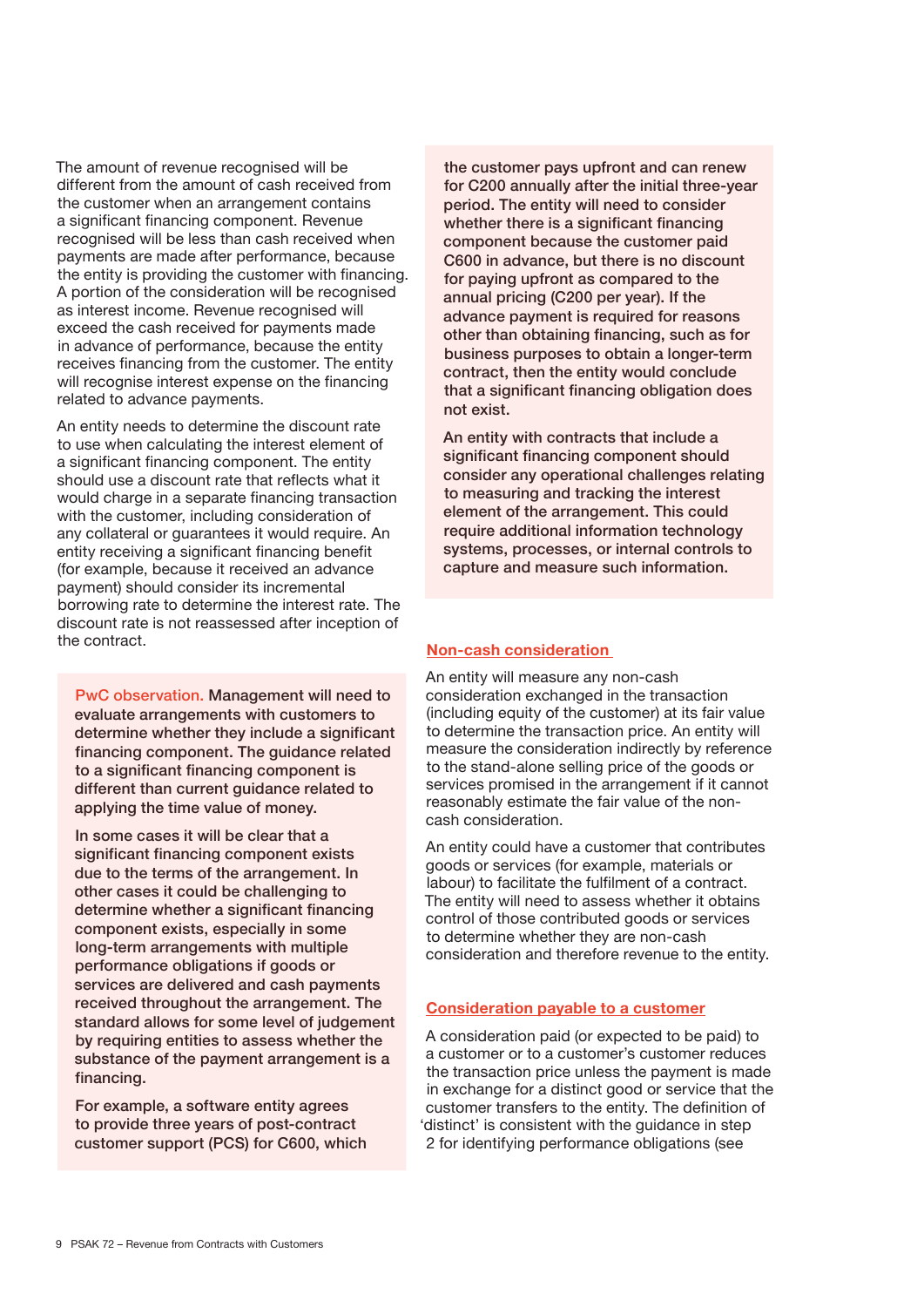The amount of revenue recognised will be different from the amount of cash received from the customer when an arrangement contains a significant financing component. Revenue recognised will be less than cash received when payments are made after performance, because the entity is providing the customer with financing. A portion of the consideration will be recognised as interest income. Revenue recognised will exceed the cash received for payments made in advance of performance, because the entity receives financing from the customer. The entity will recognise interest expense on the financing related to advance payments.

An entity needs to determine the discount rate to use when calculating the interest element of a significant financing component. The entity should use a discount rate that reflects what it would charge in a separate financing transaction with the customer, including consideration of any collateral or guarantees it would require. An entity receiving a significant financing benefit (for example, because it received an advance payment) should consider its incremental borrowing rate to determine the interest rate. The discount rate is not reassessed after inception of the contract.

PwC observation. Management will need to evaluate arrangements with customers to determine whether they include a significant financing component. The guidance related to a significant financing component is different than current guidance related to applying the time value of money.

In some cases it will be clear that a significant financing component exists due to the terms of the arrangement. In other cases it could be challenging to determine whether a significant financing component exists, especially in some long-term arrangements with multiple performance obligations if goods or services are delivered and cash payments received throughout the arrangement. The standard allows for some level of judgement by requiring entities to assess whether the substance of the payment arrangement is a financing.

For example, a software entity agrees to provide three years of post-contract customer support (PCS) for C600, which the customer pays upfront and can renew for C200 annually after the initial three-year period. The entity will need to consider whether there is a significant financing component because the customer paid C600 in advance, but there is no discount for paying upfront as compared to the annual pricing (C200 per year). If the advance payment is required for reasons other than obtaining financing, such as for business purposes to obtain a longer-term contract, then the entity would conclude that a significant financing obligation does not exist.

An entity with contracts that include a significant financing component should consider any operational challenges relating to measuring and tracking the interest element of the arrangement. This could require additional information technology systems, processes, or internal controls to capture and measure such information.

#### Non-cash consideration

An entity will measure any non-cash consideration exchanged in the transaction (including equity of the customer) at its fair value to determine the transaction price. An entity will measure the consideration indirectly by reference to the stand-alone selling price of the goods or services promised in the arrangement if it cannot reasonably estimate the fair value of the noncash consideration.

An entity could have a customer that contributes goods or services (for example, materials or labour) to facilitate the fulfilment of a contract. The entity will need to assess whether it obtains control of those contributed goods or services to determine whether they are non-cash consideration and therefore revenue to the entity.

#### Consideration payable to a customer

A consideration paid (or expected to be paid) to a customer or to a customer's customer reduces the transaction price unless the payment is made in exchange for a distinct good or service that the customer transfers to the entity. The definition of 'distinct' is consistent with the guidance in step 2 for identifying performance obligations (see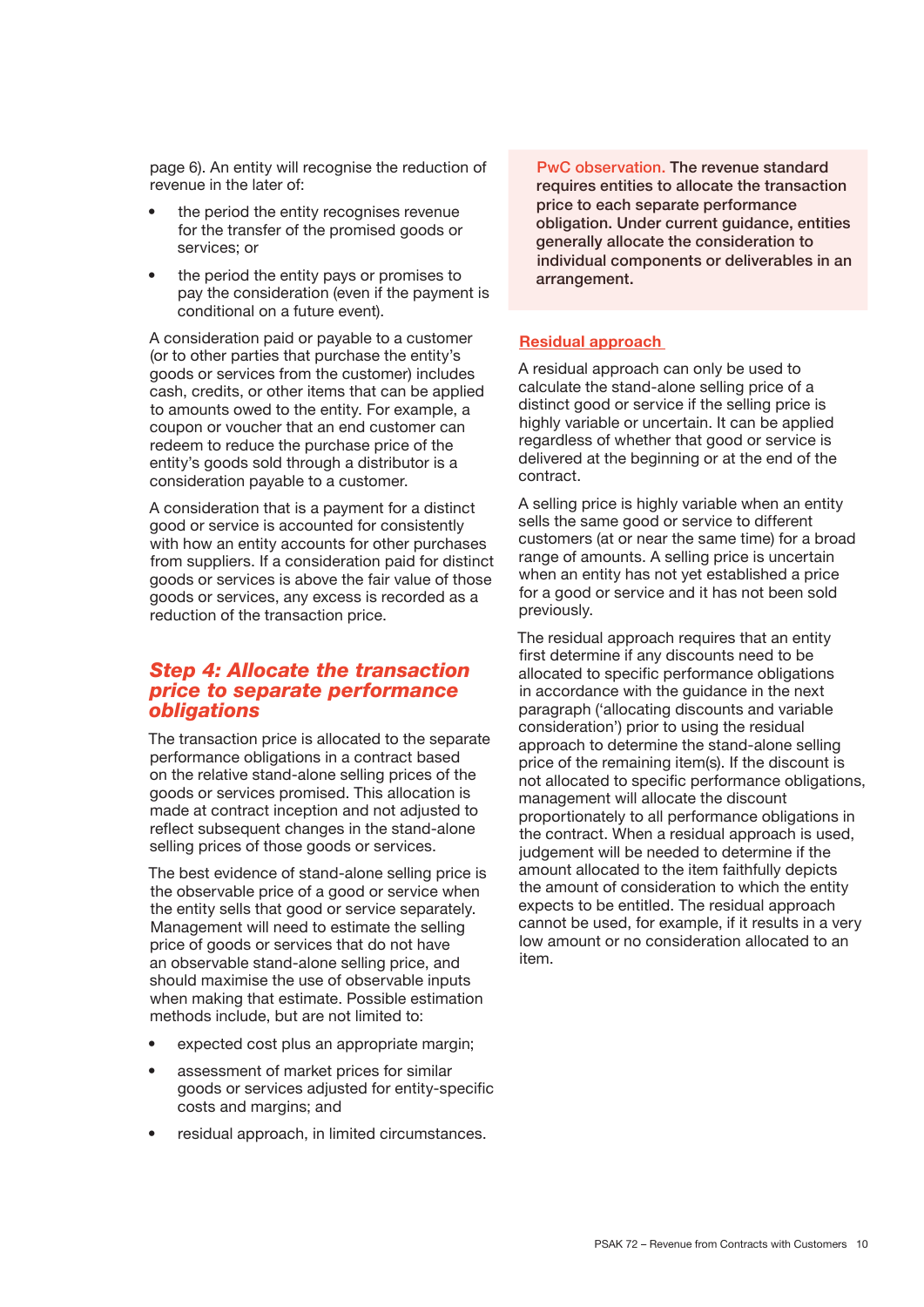page 6). An entity will recognise the reduction of revenue in the later of:

- the period the entity recognises revenue for the transfer of the promised goods or services; or
- the period the entity pays or promises to pay the consideration (even if the payment is conditional on a future event).

A consideration paid or payable to a customer (or to other parties that purchase the entity's goods or services from the customer) includes cash, credits, or other items that can be applied to amounts owed to the entity. For example, a coupon or voucher that an end customer can redeem to reduce the purchase price of the entity's goods sold through a distributor is a consideration payable to a customer.

A consideration that is a payment for a distinct good or service is accounted for consistently with how an entity accounts for other purchases from suppliers. If a consideration paid for distinct goods or services is above the fair value of those goods or services, any excess is recorded as a reduction of the transaction price.

#### *Step 4: Allocate the transaction price to separate performance obligations*

The transaction price is allocated to the separate performance obligations in a contract based on the relative stand-alone selling prices of the goods or services promised. This allocation is made at contract inception and not adjusted to reflect subsequent changes in the stand-alone selling prices of those goods or services.

The best evidence of stand-alone selling price is the observable price of a good or service when the entity sells that good or service separately. Management will need to estimate the selling price of goods or services that do not have an observable stand-alone selling price, and should maximise the use of observable inputs when making that estimate. Possible estimation methods include, but are not limited to:

- expected cost plus an appropriate margin;
- assessment of market prices for similar goods or services adjusted for entity-specific costs and margins; and
- residual approach, in limited circumstances.

PwC observation. The revenue standard requires entities to allocate the transaction price to each separate performance obligation. Under current guidance, entities generally allocate the consideration to individual components or deliverables in an arrangement.

#### Residual approach

A residual approach can only be used to calculate the stand-alone selling price of a distinct good or service if the selling price is highly variable or uncertain. It can be applied regardless of whether that good or service is delivered at the beginning or at the end of the contract.

A selling price is highly variable when an entity sells the same good or service to different customers (at or near the same time) for a broad range of amounts. A selling price is uncertain when an entity has not yet established a price for a good or service and it has not been sold previously.

The residual approach requires that an entity first determine if any discounts need to be allocated to specific performance obligations in accordance with the guidance in the next paragraph ('allocating discounts and variable consideration') prior to using the residual approach to determine the stand-alone selling price of the remaining item(s). If the discount is not allocated to specific performance obligations, management will allocate the discount proportionately to all performance obligations in the contract. When a residual approach is used, judgement will be needed to determine if the amount allocated to the item faithfully depicts the amount of consideration to which the entity expects to be entitled. The residual approach cannot be used, for example, if it results in a very low amount or no consideration allocated to an item.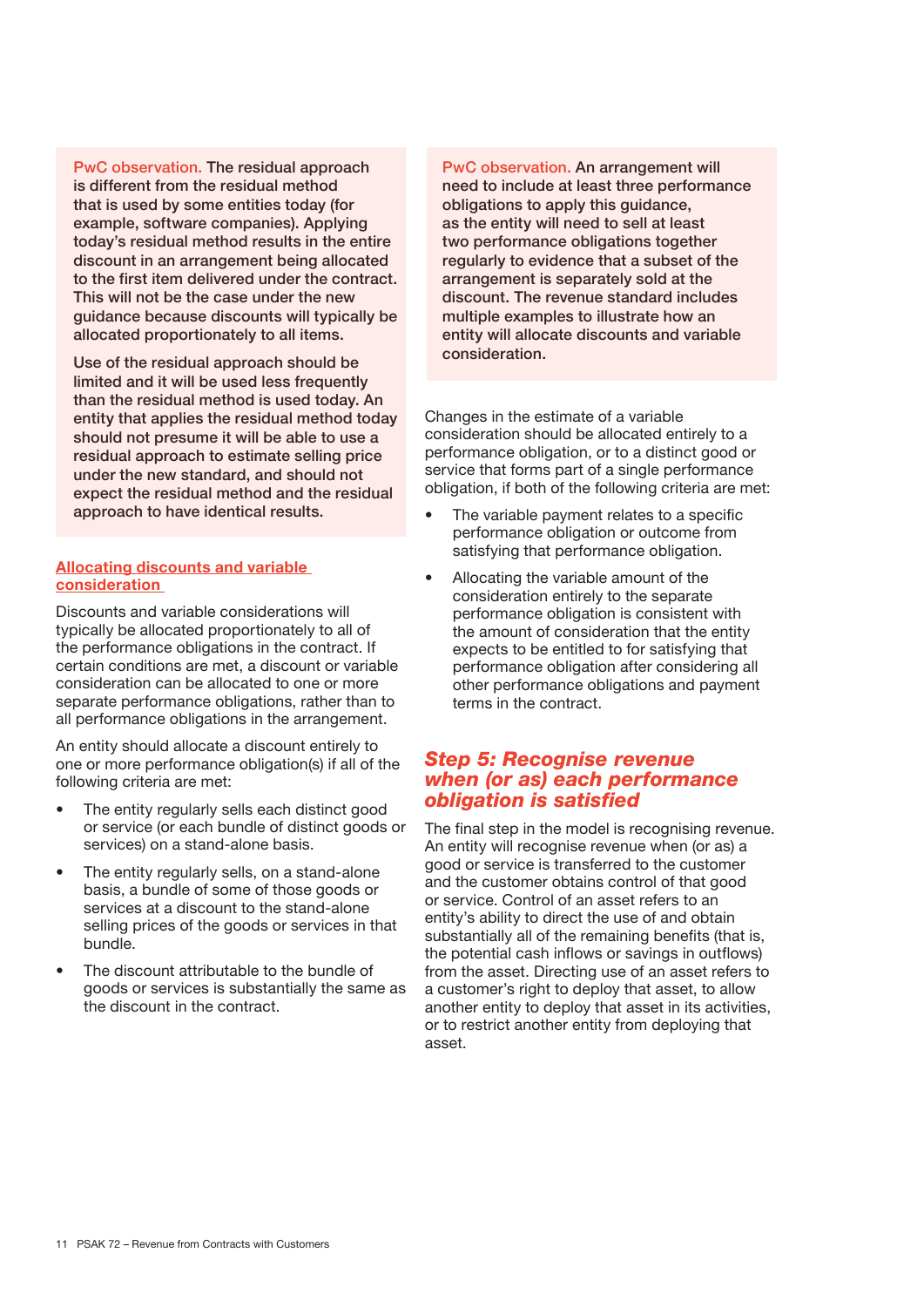PwC observation. The residual approach is different from the residual method that is used by some entities today (for example, software companies). Applying today's residual method results in the entire discount in an arrangement being allocated to the first item delivered under the contract. This will not be the case under the new guidance because discounts will typically be allocated proportionately to all items.

Use of the residual approach should be limited and it will be used less frequently than the residual method is used today. An entity that applies the residual method today should not presume it will be able to use a residual approach to estimate selling price under the new standard, and should not expect the residual method and the residual approach to have identical results.

#### Allocating discounts and variable consideration

Discounts and variable considerations will typically be allocated proportionately to all of the performance obligations in the contract. If certain conditions are met, a discount or variable consideration can be allocated to one or more separate performance obligations, rather than to all performance obligations in the arrangement.

An entity should allocate a discount entirely to one or more performance obligation(s) if all of the following criteria are met:

- The entity regularly sells each distinct good or service (or each bundle of distinct goods or services) on a stand-alone basis.
- The entity regularly sells, on a stand-alone basis, a bundle of some of those goods or services at a discount to the stand-alone selling prices of the goods or services in that bundle.
- The discount attributable to the bundle of goods or services is substantially the same as the discount in the contract.

PwC observation. An arrangement will need to include at least three performance obligations to apply this guidance, as the entity will need to sell at least two performance obligations together regularly to evidence that a subset of the arrangement is separately sold at the discount. The revenue standard includes multiple examples to illustrate how an entity will allocate discounts and variable consideration.

Changes in the estimate of a variable consideration should be allocated entirely to a performance obligation, or to a distinct good or service that forms part of a single performance obligation, if both of the following criteria are met:

- The variable payment relates to a specific performance obligation or outcome from satisfying that performance obligation.
- Allocating the variable amount of the consideration entirely to the separate performance obligation is consistent with the amount of consideration that the entity expects to be entitled to for satisfying that performance obligation after considering all other performance obligations and payment terms in the contract.

#### *Step 5: Recognise revenue when (or as) each performance obligation is satisfied*

The final step in the model is recognising revenue. An entity will recognise revenue when (or as) a good or service is transferred to the customer and the customer obtains control of that good or service. Control of an asset refers to an entity's ability to direct the use of and obtain substantially all of the remaining benefits (that is, the potential cash inflows or savings in outflows) from the asset. Directing use of an asset refers to a customer's right to deploy that asset, to allow another entity to deploy that asset in its activities, or to restrict another entity from deploying that asset.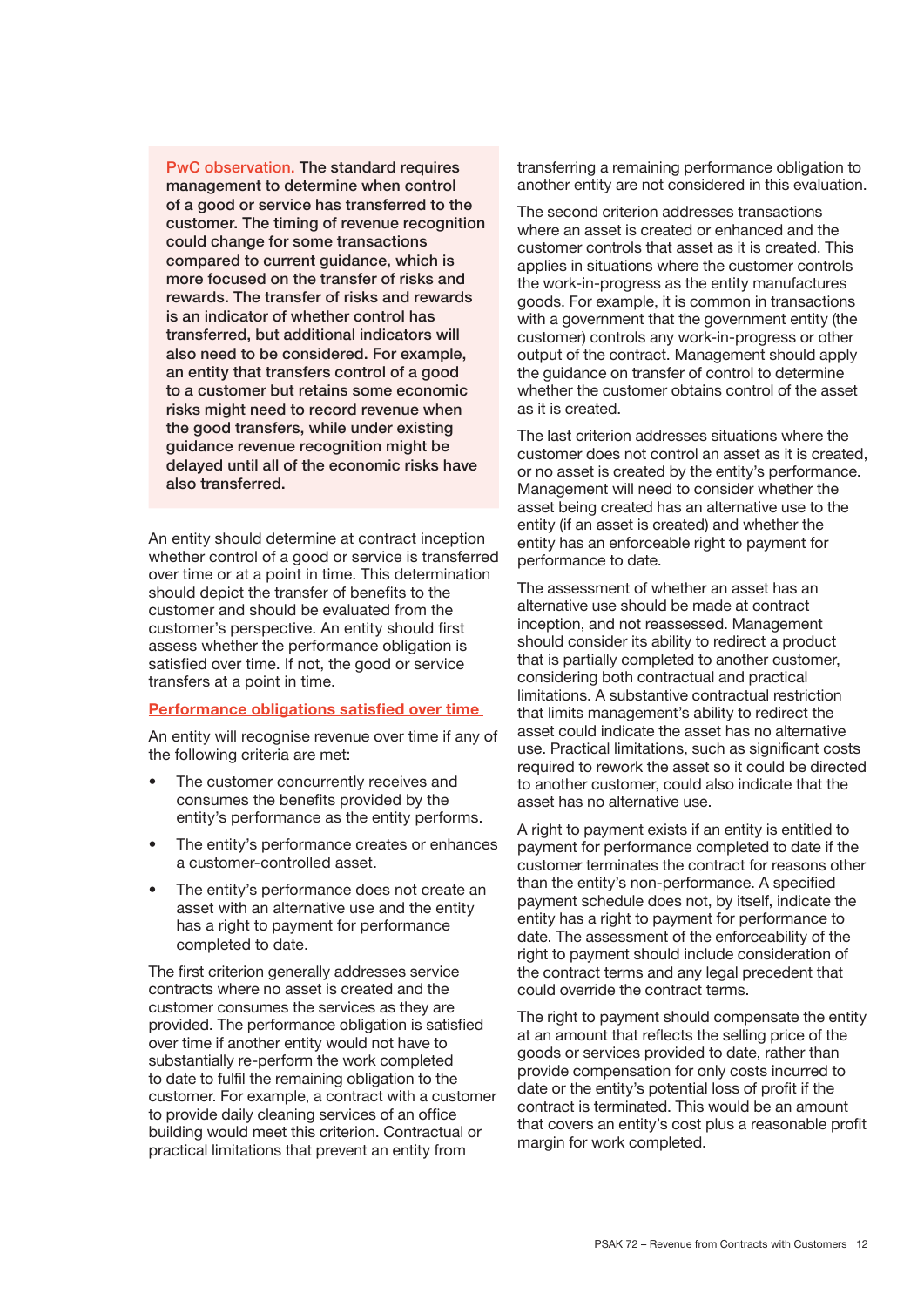PwC observation. The standard requires management to determine when control of a good or service has transferred to the customer. The timing of revenue recognition could change for some transactions compared to current quidance, which is more focused on the transfer of risks and rewards. The transfer of risks and rewards is an indicator of whether control has transferred, but additional indicators will also need to be considered. For example, an entity that transfers control of a good to a customer but retains some economic risks might need to record revenue when the good transfers, while under existing guidance revenue recognition might be delayed until all of the economic risks have also transferred.

An entity should determine at contract inception whether control of a good or service is transferred over time or at a point in time. This determination should depict the transfer of benefits to the customer and should be evaluated from the customer's perspective. An entity should first assess whether the performance obligation is satisfied over time. If not, the good or service transfers at a point in time.

#### Performance obligations satisfied over time

An entity will recognise revenue over time if any of the following criteria are met:

- The customer concurrently receives and consumes the benefits provided by the entity's performance as the entity performs.
- The entity's performance creates or enhances a customer-controlled asset.
- The entity's performance does not create an asset with an alternative use and the entity has a right to payment for performance completed to date.

The first criterion generally addresses service contracts where no asset is created and the customer consumes the services as they are provided. The performance obligation is satisfied over time if another entity would not have to substantially re-perform the work completed to date to fulfil the remaining obligation to the customer. For example, a contract with a customer to provide daily cleaning services of an office building would meet this criterion. Contractual or practical limitations that prevent an entity from

transferring a remaining performance obligation to another entity are not considered in this evaluation.

The second criterion addresses transactions where an asset is created or enhanced and the customer controls that asset as it is created. This applies in situations where the customer controls the work-in-progress as the entity manufactures goods. For example, it is common in transactions with a government that the government entity (the customer) controls any work-in-progress or other output of the contract. Management should apply the guidance on transfer of control to determine whether the customer obtains control of the asset as it is created.

The last criterion addresses situations where the customer does not control an asset as it is created, or no asset is created by the entity's performance. Management will need to consider whether the asset being created has an alternative use to the entity (if an asset is created) and whether the entity has an enforceable right to payment for performance to date.

The assessment of whether an asset has an alternative use should be made at contract inception, and not reassessed. Management should consider its ability to redirect a product that is partially completed to another customer, considering both contractual and practical limitations. A substantive contractual restriction that limits management's ability to redirect the asset could indicate the asset has no alternative use. Practical limitations, such as significant costs required to rework the asset so it could be directed to another customer, could also indicate that the asset has no alternative use.

A right to payment exists if an entity is entitled to payment for performance completed to date if the customer terminates the contract for reasons other than the entity's non-performance. A specified payment schedule does not, by itself, indicate the entity has a right to payment for performance to date. The assessment of the enforceability of the right to payment should include consideration of the contract terms and any legal precedent that could override the contract terms.

The right to payment should compensate the entity at an amount that reflects the selling price of the goods or services provided to date, rather than provide compensation for only costs incurred to date or the entity's potential loss of profit if the contract is terminated. This would be an amount that covers an entity's cost plus a reasonable profit margin for work completed.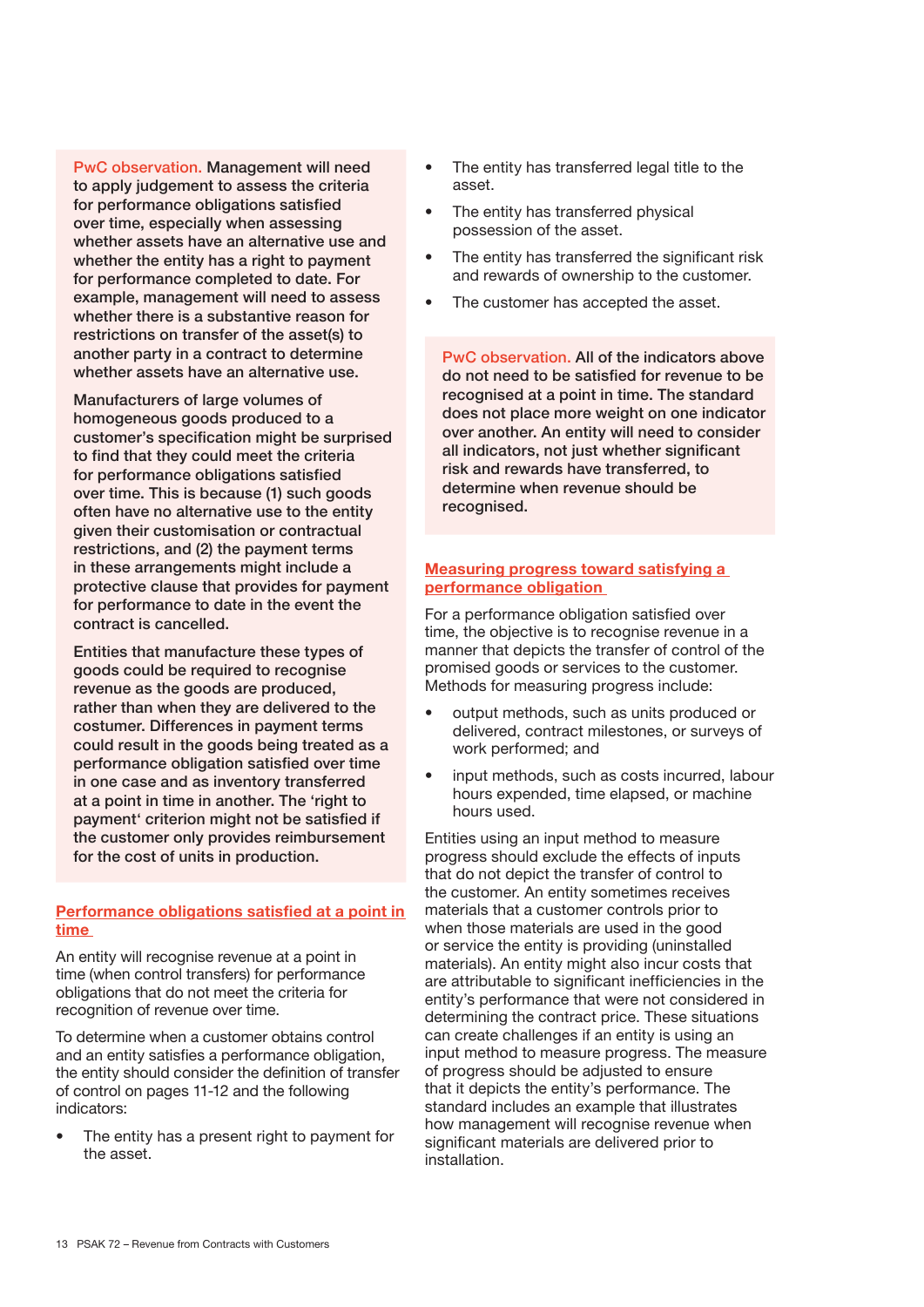PwC observation. Management will need to apply judgement to assess the criteria for performance obligations satisfied over time, especially when assessing whether assets have an alternative use and whether the entity has a right to payment for performance completed to date. For example, management will need to assess whether there is a substantive reason for restrictions on transfer of the asset(s) to another party in a contract to determine whether assets have an alternative use.

Manufacturers of large volumes of homogeneous goods produced to a customer's specification might be surprised to find that they could meet the criteria for performance obligations satisfied over time. This is because (1) such goods often have no alternative use to the entity given their customisation or contractual restrictions, and (2) the payment terms in these arrangements might include a protective clause that provides for payment for performance to date in the event the contract is cancelled.

Entities that manufacture these types of goods could be required to recognise revenue as the goods are produced, rather than when they are delivered to the costumer. Differences in payment terms could result in the goods being treated as a performance obligation satisfied over time in one case and as inventory transferred at a point in time in another. The 'right to payment' criterion might not be satisfied if the customer only provides reimbursement for the cost of units in production.

#### Performance obligations satisfied at a point in time

An entity will recognise revenue at a point in time (when control transfers) for performance obligations that do not meet the criteria for recognition of revenue over time.

To determine when a customer obtains control and an entity satisfies a performance obligation, the entity should consider the definition of transfer of control on pages 11-12 and the following indicators:

The entity has a present right to payment for the asset.

- The entity has transferred legal title to the asset.
- The entity has transferred physical possession of the asset.
- The entity has transferred the significant risk and rewards of ownership to the customer.
- The customer has accepted the asset.

PwC observation. All of the indicators above do not need to be satisfied for revenue to be recognised at a point in time. The standard does not place more weight on one indicator over another. An entity will need to consider all indicators, not just whether significant risk and rewards have transferred, to determine when revenue should be recognised.

#### Measuring progress toward satisfying a performance obligation

For a performance obligation satisfied over time, the objective is to recognise revenue in a manner that depicts the transfer of control of the promised goods or services to the customer. Methods for measuring progress include:

- output methods, such as units produced or delivered, contract milestones, or surveys of work performed; and
- input methods, such as costs incurred, labour hours expended, time elapsed, or machine hours used.

Entities using an input method to measure progress should exclude the effects of inputs that do not depict the transfer of control to the customer. An entity sometimes receives materials that a customer controls prior to when those materials are used in the good or service the entity is providing (uninstalled materials). An entity might also incur costs that are attributable to significant inefficiencies in the entity's performance that were not considered in determining the contract price. These situations can create challenges if an entity is using an input method to measure progress. The measure of progress should be adjusted to ensure that it depicts the entity's performance. The standard includes an example that illustrates how management will recognise revenue when significant materials are delivered prior to installation.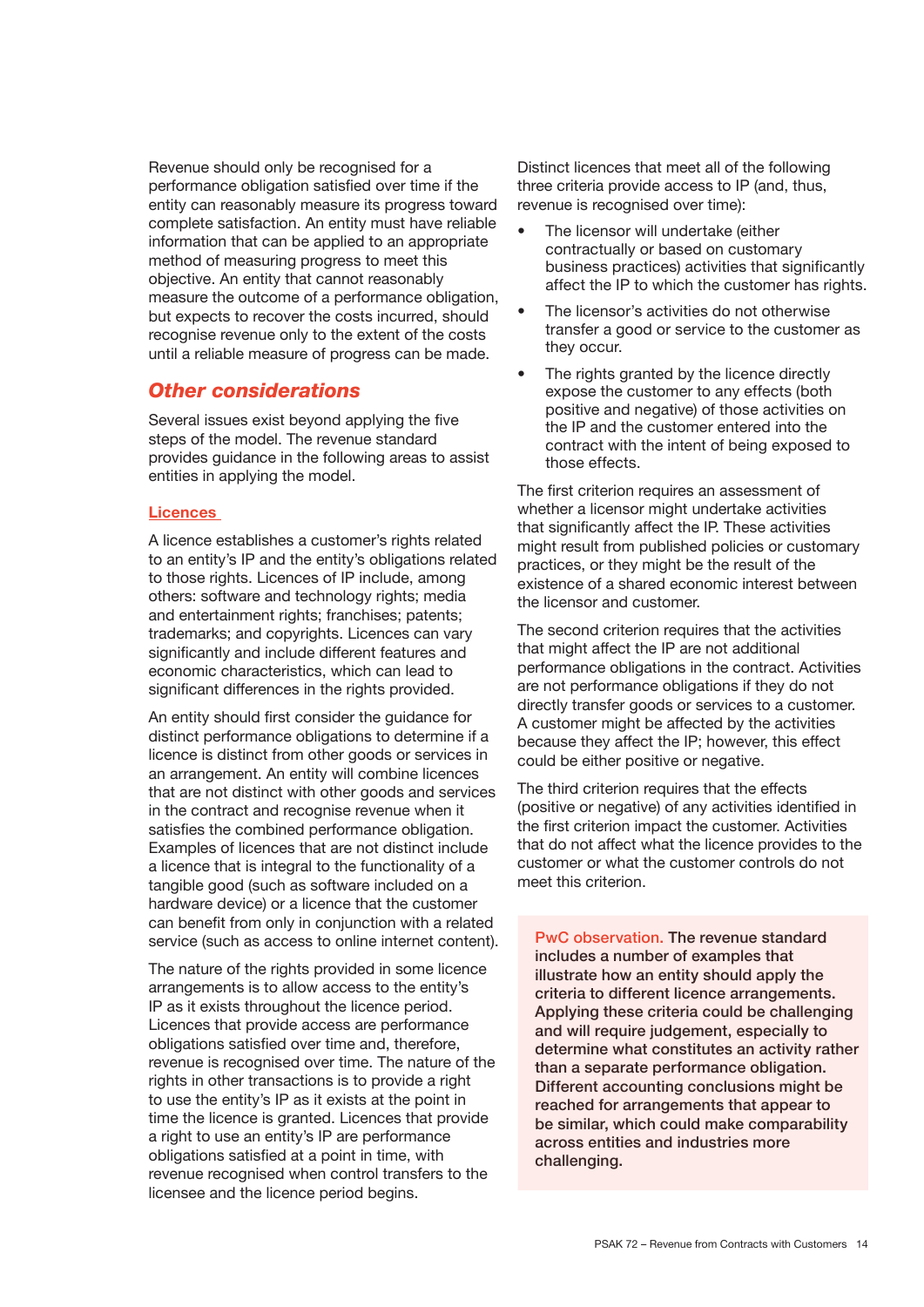Revenue should only be recognised for a performance obligation satisfied over time if the entity can reasonably measure its progress toward complete satisfaction. An entity must have reliable information that can be applied to an appropriate method of measuring progress to meet this objective. An entity that cannot reasonably measure the outcome of a performance obligation, but expects to recover the costs incurred, should recognise revenue only to the extent of the costs until a reliable measure of progress can be made.

#### *Other considerations*

Several issues exist beyond applying the five steps of the model. The revenue standard provides guidance in the following areas to assist entities in applying the model.

#### **Licences**

A licence establishes a customer's rights related to an entity's IP and the entity's obligations related to those rights. Licences of IP include, among others: software and technology rights; media and entertainment rights; franchises; patents; trademarks; and copyrights. Licences can vary significantly and include different features and economic characteristics, which can lead to significant differences in the rights provided.

An entity should first consider the guidance for distinct performance obligations to determine if a licence is distinct from other goods or services in an arrangement. An entity will combine licences that are not distinct with other goods and services in the contract and recognise revenue when it satisfies the combined performance obligation. Examples of licences that are not distinct include a licence that is integral to the functionality of a tangible good (such as software included on a hardware device) or a licence that the customer can benefit from only in conjunction with a related service (such as access to online internet content).

The nature of the rights provided in some licence arrangements is to allow access to the entity's IP as it exists throughout the licence period. Licences that provide access are performance obligations satisfied over time and, therefore, revenue is recognised over time. The nature of the rights in other transactions is to provide a right to use the entity's IP as it exists at the point in time the licence is granted. Licences that provide a right to use an entity's IP are performance obligations satisfied at a point in time, with revenue recognised when control transfers to the licensee and the licence period begins.

Distinct licences that meet all of the following three criteria provide access to IP (and, thus, revenue is recognised over time):

- The licensor will undertake (either contractually or based on customary business practices) activities that significantly affect the IP to which the customer has rights.
- The licensor's activities do not otherwise transfer a good or service to the customer as they occur.
- The rights granted by the licence directly expose the customer to any effects (both positive and negative) of those activities on the IP and the customer entered into the contract with the intent of being exposed to those effects.

The first criterion requires an assessment of whether a licensor might undertake activities that significantly affect the IP. These activities might result from published policies or customary practices, or they might be the result of the existence of a shared economic interest between the licensor and customer.

The second criterion requires that the activities that might affect the IP are not additional performance obligations in the contract. Activities are not performance obligations if they do not directly transfer goods or services to a customer. A customer might be affected by the activities because they affect the IP; however, this effect could be either positive or negative.

The third criterion requires that the effects (positive or negative) of any activities identified in the first criterion impact the customer. Activities that do not affect what the licence provides to the customer or what the customer controls do not meet this criterion.

PwC observation. The revenue standard includes a number of examples that illustrate how an entity should apply the criteria to different licence arrangements. Applying these criteria could be challenging and will require judgement, especially to determine what constitutes an activity rather than a separate performance obligation. Different accounting conclusions might be reached for arrangements that appear to be similar, which could make comparability across entities and industries more challenging.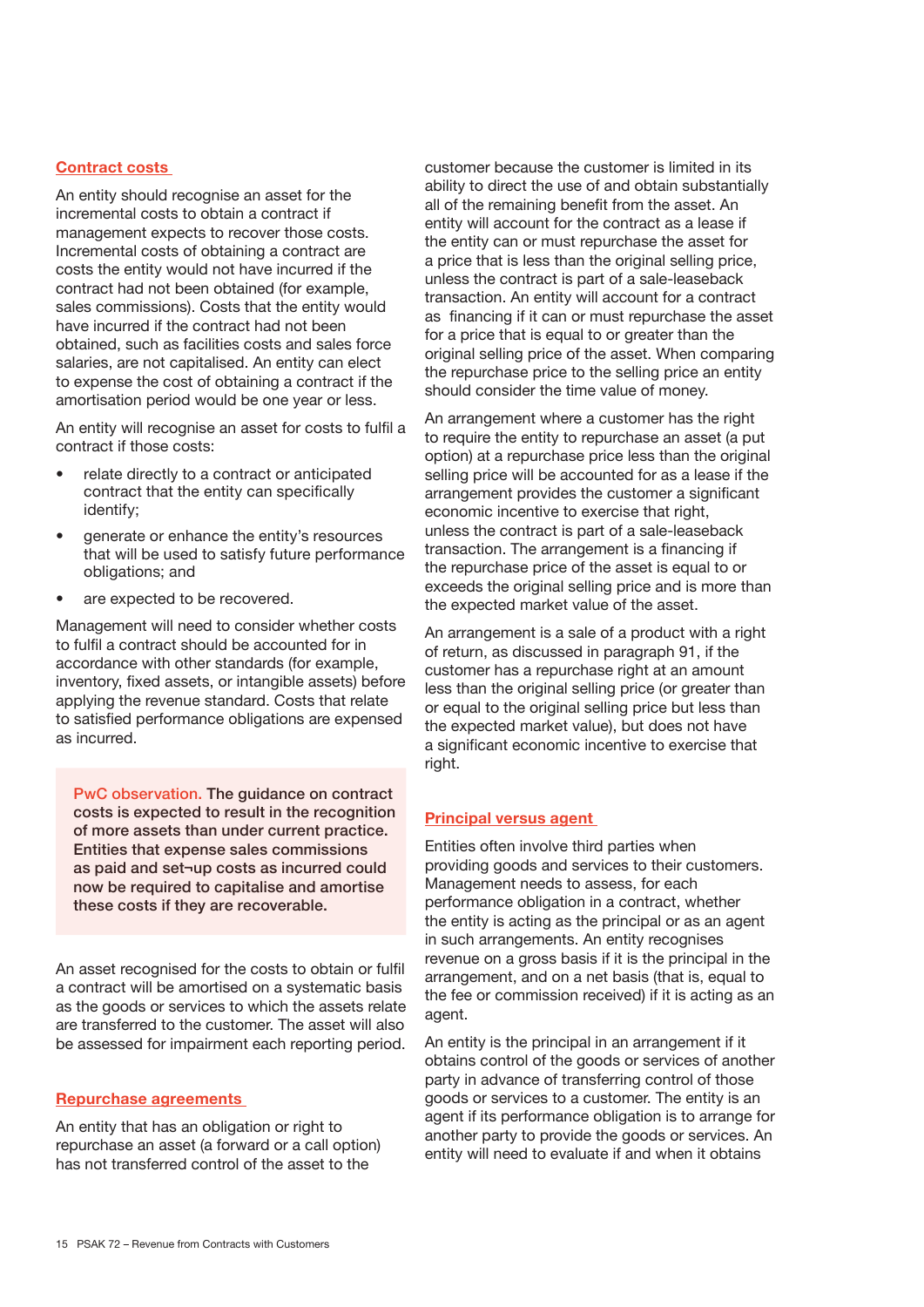#### Contract costs

An entity should recognise an asset for the incremental costs to obtain a contract if management expects to recover those costs. Incremental costs of obtaining a contract are costs the entity would not have incurred if the contract had not been obtained (for example, sales commissions). Costs that the entity would have incurred if the contract had not been obtained, such as facilities costs and sales force salaries, are not capitalised. An entity can elect to expense the cost of obtaining a contract if the amortisation period would be one year or less.

An entity will recognise an asset for costs to fulfil a contract if those costs:

- relate directly to a contract or anticipated contract that the entity can specifically identify;
- generate or enhance the entity's resources that will be used to satisfy future performance obligations; and
- are expected to be recovered.

Management will need to consider whether costs to fulfil a contract should be accounted for in accordance with other standards (for example, inventory, fixed assets, or intangible assets) before applying the revenue standard. Costs that relate to satisfied performance obligations are expensed as incurred.

PwC observation. The guidance on contract costs is expected to result in the recognition of more assets than under current practice. Entities that expense sales commissions as paid and set¬up costs as incurred could now be required to capitalise and amortise these costs if they are recoverable.

An asset recognised for the costs to obtain or fulfil a contract will be amortised on a systematic basis as the goods or services to which the assets relate are transferred to the customer. The asset will also be assessed for impairment each reporting period.

#### Repurchase agreements

An entity that has an obligation or right to repurchase an asset (a forward or a call option) has not transferred control of the asset to the

customer because the customer is limited in its ability to direct the use of and obtain substantially all of the remaining benefit from the asset. An entity will account for the contract as a lease if the entity can or must repurchase the asset for a price that is less than the original selling price, unless the contract is part of a sale-leaseback transaction. An entity will account for a contract as financing if it can or must repurchase the asset for a price that is equal to or greater than the original selling price of the asset. When comparing the repurchase price to the selling price an entity should consider the time value of money.

An arrangement where a customer has the right to require the entity to repurchase an asset (a put option) at a repurchase price less than the original selling price will be accounted for as a lease if the arrangement provides the customer a significant economic incentive to exercise that right, unless the contract is part of a sale-leaseback transaction. The arrangement is a financing if the repurchase price of the asset is equal to or exceeds the original selling price and is more than the expected market value of the asset.

An arrangement is a sale of a product with a right of return, as discussed in paragraph 91, if the customer has a repurchase right at an amount less than the original selling price (or greater than or equal to the original selling price but less than the expected market value), but does not have a significant economic incentive to exercise that right.

#### Principal versus agent

Entities often involve third parties when providing goods and services to their customers. Management needs to assess, for each performance obligation in a contract, whether the entity is acting as the principal or as an agent in such arrangements. An entity recognises revenue on a gross basis if it is the principal in the arrangement, and on a net basis (that is, equal to the fee or commission received) if it is acting as an agent.

An entity is the principal in an arrangement if it obtains control of the goods or services of another party in advance of transferring control of those goods or services to a customer. The entity is an agent if its performance obligation is to arrange for another party to provide the goods or services. An entity will need to evaluate if and when it obtains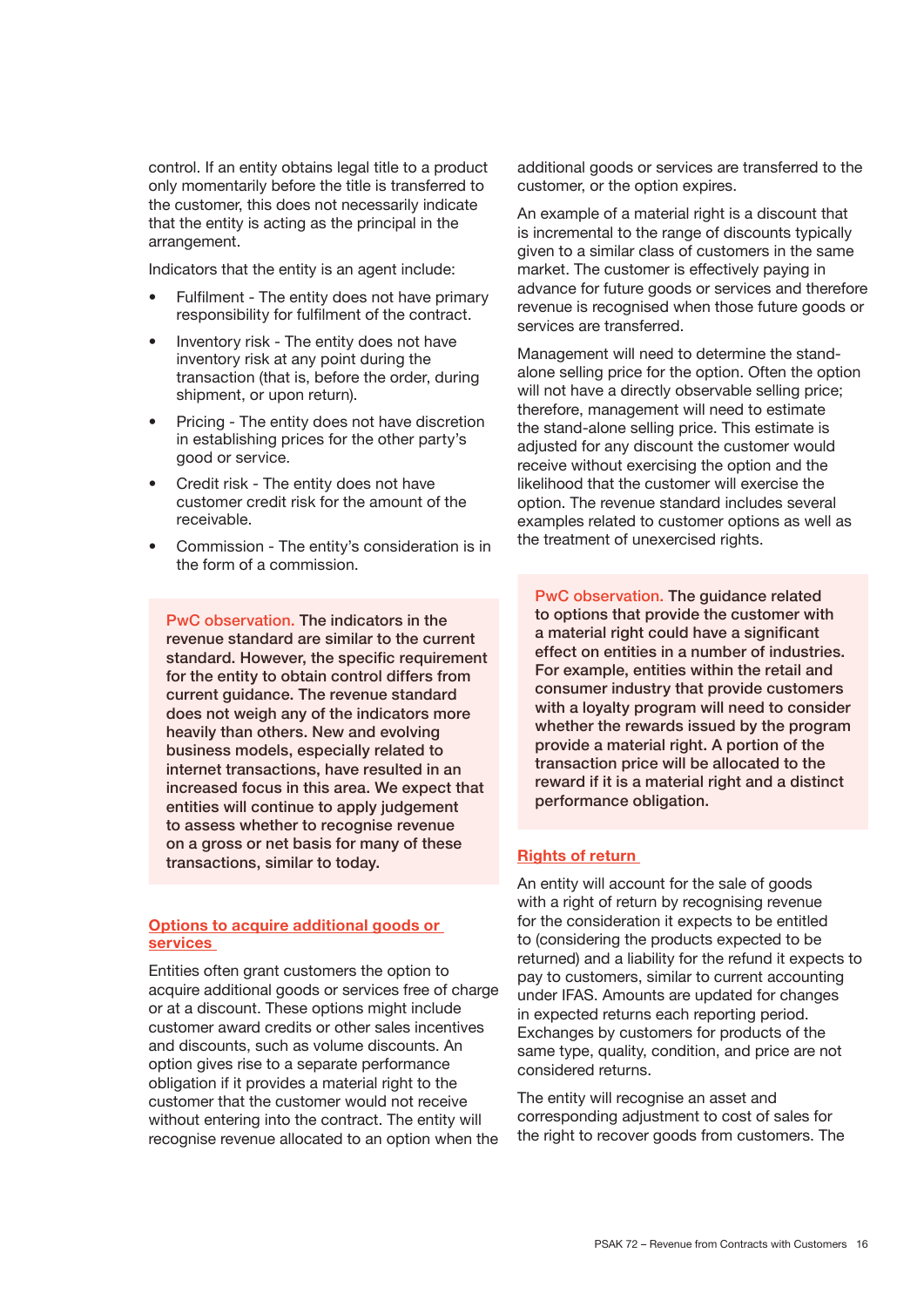control. If an entity obtains legal title to a product only momentarily before the title is transferred to the customer, this does not necessarily indicate that the entity is acting as the principal in the arrangement.

Indicators that the entity is an agent include:

- Fulfilment The entity does not have primary responsibility for fulfilment of the contract.
- Inventory risk The entity does not have inventory risk at any point during the transaction (that is, before the order, during shipment, or upon return).
- Pricing The entity does not have discretion in establishing prices for the other party's good or service.
- Credit risk The entity does not have customer credit risk for the amount of the receivable.
- Commission The entity's consideration is in the form of a commission.

PwC observation. The indicators in the revenue standard are similar to the current standard. However, the specific requirement for the entity to obtain control differs from current guidance. The revenue standard does not weigh any of the indicators more heavily than others. New and evolving business models, especially related to internet transactions, have resulted in an increased focus in this area. We expect that entities will continue to apply judgement to assess whether to recognise revenue on a gross or net basis for many of these transactions, similar to today.

#### Options to acquire additional goods or services

Entities often grant customers the option to acquire additional goods or services free of charge or at a discount. These options might include customer award credits or other sales incentives and discounts, such as volume discounts. An option gives rise to a separate performance obligation if it provides a material right to the customer that the customer would not receive without entering into the contract. The entity will recognise revenue allocated to an option when the

additional goods or services are transferred to the customer, or the option expires.

An example of a material right is a discount that is incremental to the range of discounts typically given to a similar class of customers in the same market. The customer is effectively paying in advance for future goods or services and therefore revenue is recognised when those future goods or services are transferred.

Management will need to determine the standalone selling price for the option. Often the option will not have a directly observable selling price; therefore, management will need to estimate the stand-alone selling price. This estimate is adjusted for any discount the customer would receive without exercising the option and the likelihood that the customer will exercise the option. The revenue standard includes several examples related to customer options as well as the treatment of unexercised rights.

PwC observation. The guidance related to options that provide the customer with a material right could have a significant effect on entities in a number of industries. For example, entities within the retail and consumer industry that provide customers with a loyalty program will need to consider whether the rewards issued by the program provide a material right. A portion of the transaction price will be allocated to the reward if it is a material right and a distinct performance obligation.

#### Rights of return

An entity will account for the sale of goods with a right of return by recognising revenue for the consideration it expects to be entitled to (considering the products expected to be returned) and a liability for the refund it expects to pay to customers, similar to current accounting under IFAS. Amounts are updated for changes in expected returns each reporting period. Exchanges by customers for products of the same type, quality, condition, and price are not considered returns.

The entity will recognise an asset and corresponding adjustment to cost of sales for the right to recover goods from customers. The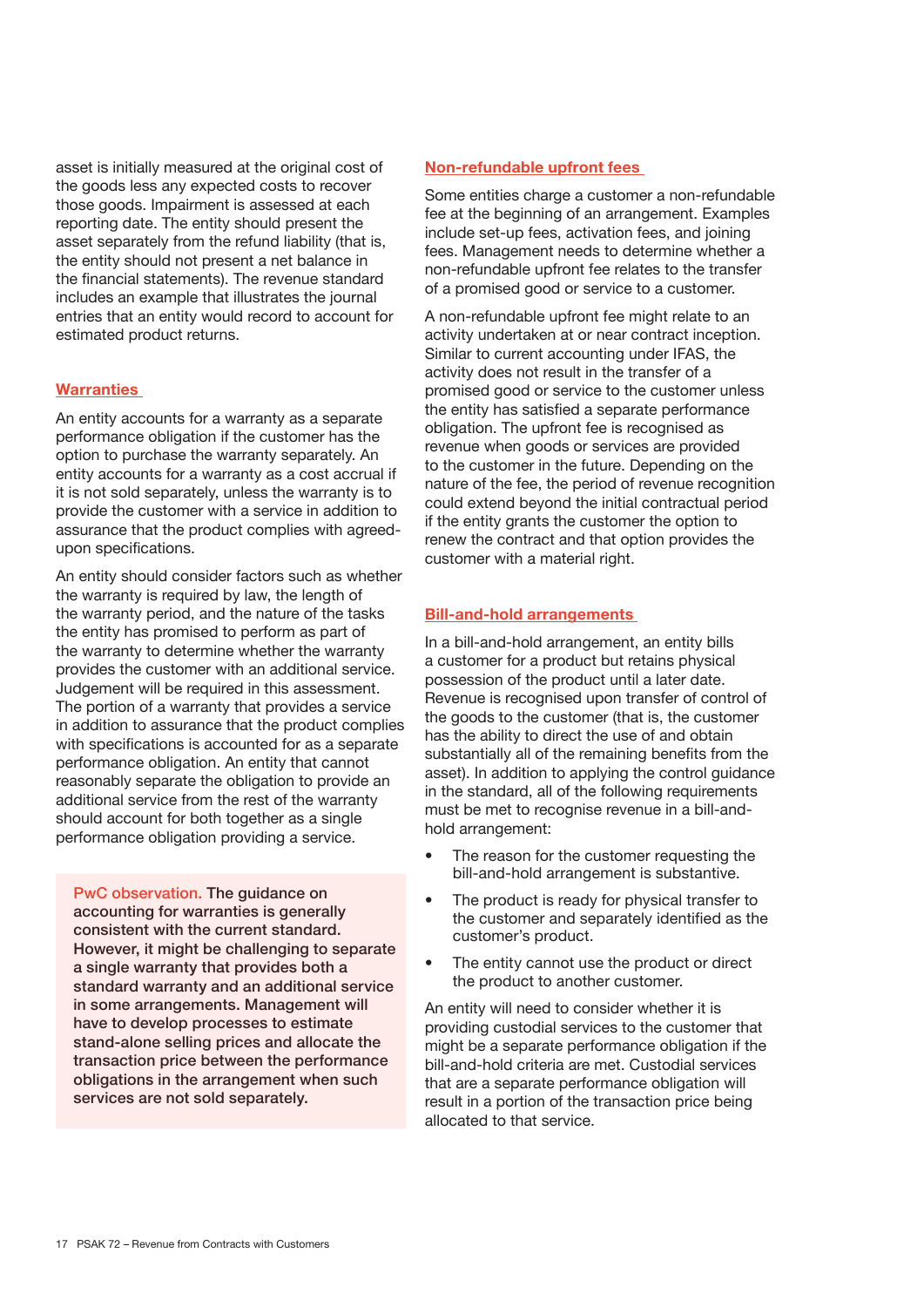asset is initially measured at the original cost of the goods less any expected costs to recover those goods. Impairment is assessed at each reporting date. The entity should present the asset separately from the refund liability (that is, the entity should not present a net balance in the financial statements). The revenue standard includes an example that illustrates the journal entries that an entity would record to account for estimated product returns.

#### **Warranties**

An entity accounts for a warranty as a separate performance obligation if the customer has the option to purchase the warranty separately. An entity accounts for a warranty as a cost accrual if it is not sold separately, unless the warranty is to provide the customer with a service in addition to assurance that the product complies with agreedupon specifications.

An entity should consider factors such as whether the warranty is required by law, the length of the warranty period, and the nature of the tasks the entity has promised to perform as part of the warranty to determine whether the warranty provides the customer with an additional service. Judgement will be required in this assessment. The portion of a warranty that provides a service in addition to assurance that the product complies with specifications is accounted for as a separate performance obligation. An entity that cannot reasonably separate the obligation to provide an additional service from the rest of the warranty should account for both together as a single performance obligation providing a service.

PwC observation. The guidance on accounting for warranties is generally consistent with the current standard. However, it might be challenging to separate a single warranty that provides both a standard warranty and an additional service in some arrangements. Management will have to develop processes to estimate stand-alone selling prices and allocate the transaction price between the performance obligations in the arrangement when such services are not sold separately.

#### Non-refundable upfront fees

Some entities charge a customer a non-refundable fee at the beginning of an arrangement. Examples include set-up fees, activation fees, and joining fees. Management needs to determine whether a non-refundable upfront fee relates to the transfer of a promised good or service to a customer.

A non-refundable upfront fee might relate to an activity undertaken at or near contract inception. Similar to current accounting under IFAS, the activity does not result in the transfer of a promised good or service to the customer unless the entity has satisfied a separate performance obligation. The upfront fee is recognised as revenue when goods or services are provided to the customer in the future. Depending on the nature of the fee, the period of revenue recognition could extend beyond the initial contractual period if the entity grants the customer the option to renew the contract and that option provides the customer with a material right.

#### Bill-and-hold arrangements

In a bill-and-hold arrangement, an entity bills a customer for a product but retains physical possession of the product until a later date. Revenue is recognised upon transfer of control of the goods to the customer (that is, the customer has the ability to direct the use of and obtain substantially all of the remaining benefits from the asset). In addition to applying the control guidance in the standard, all of the following requirements must be met to recognise revenue in a bill-andhold arrangement:

- The reason for the customer requesting the bill-and-hold arrangement is substantive.
- The product is ready for physical transfer to the customer and separately identified as the customer's product.
- The entity cannot use the product or direct the product to another customer.

An entity will need to consider whether it is providing custodial services to the customer that might be a separate performance obligation if the bill-and-hold criteria are met. Custodial services that are a separate performance obligation will result in a portion of the transaction price being allocated to that service.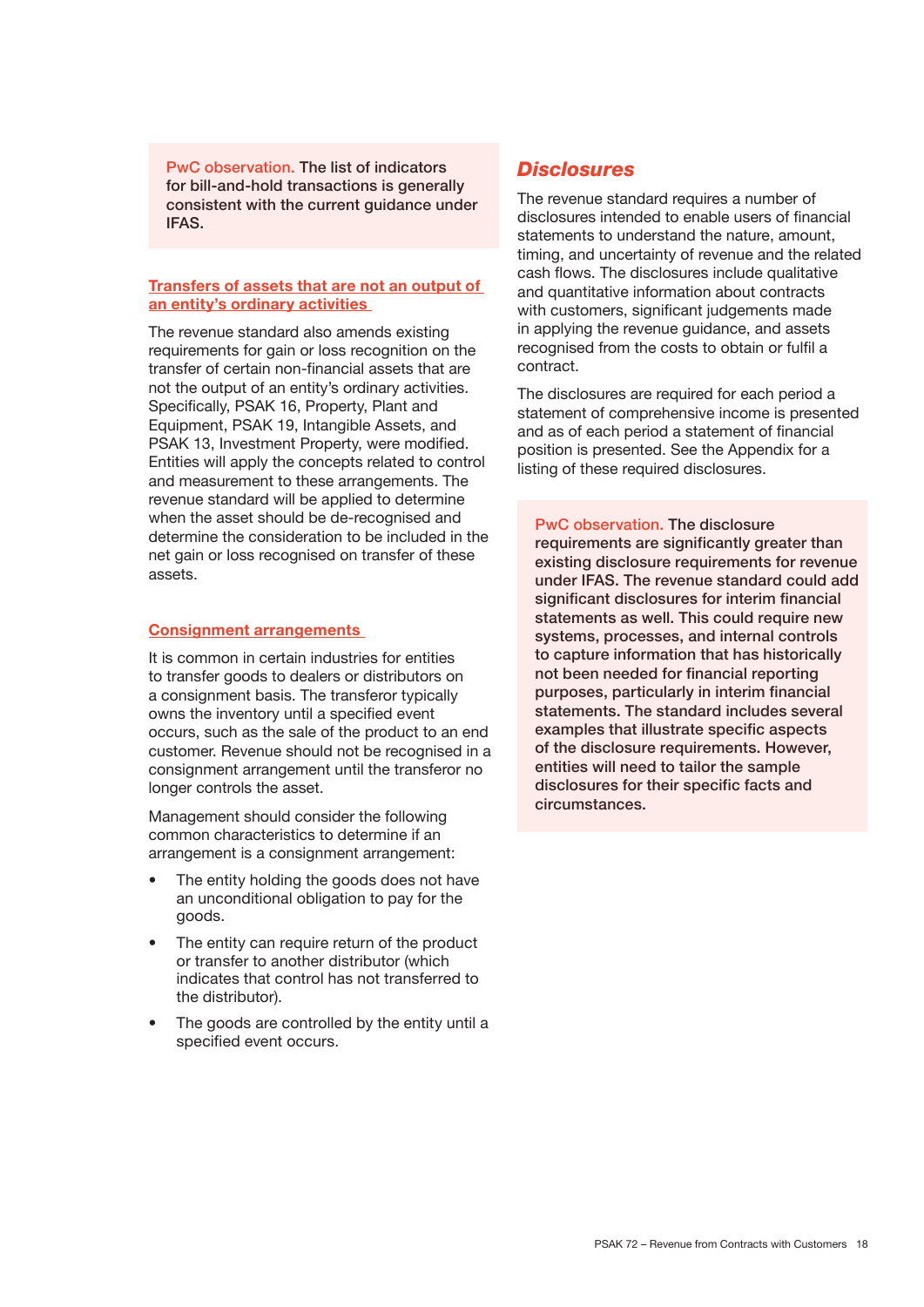PwC observation. The list of indicators for bill-and-hold transactions is generally consistent with the current guidance under IFAS.

#### Transfers of assets that are not an output of an entity's ordinary activities

The revenue standard also amends existing requirements for gain or loss recognition on the transfer of certain non-financial assets that are not the output of an entity's ordinary activities. Specifically, PSAK 16, Property, Plant and Equipment, PSAK 19, Intangible Assets, and PSAK 13, Investment Property, were modified. Entities will apply the concepts related to control and measurement to these arrangements. The revenue standard will be applied to determine when the asset should be de-recognised and determine the consideration to be included in the net gain or loss recognised on transfer of these assets.

#### Consignment arrangements

It is common in certain industries for entities to transfer goods to dealers or distributors on a consignment basis. The transferor typically owns the inventory until a specified event occurs, such as the sale of the product to an end customer. Revenue should not be recognised in a consignment arrangement until the transferor no longer controls the asset.

Management should consider the following common characteristics to determine if an arrangement is a consignment arrangement:

- The entity holding the goods does not have an unconditional obligation to pay for the goods.
- The entity can require return of the product or transfer to another distributor (which indicates that control has not transferred to the distributor).
- The goods are controlled by the entity until a specified event occurs.

#### *Disclosures*

The revenue standard requires a number of disclosures intended to enable users of financial statements to understand the nature, amount, timing, and uncertainty of revenue and the related cash flows. The disclosures include qualitative and quantitative information about contracts with customers, significant judgements made in applying the revenue guidance, and assets recognised from the costs to obtain or fulfil a contract.

The disclosures are required for each period a statement of comprehensive income is presented and as of each period a statement of financial position is presented. See the Appendix for a listing of these required disclosures.

PwC observation. The disclosure requirements are significantly greater than existing disclosure requirements for revenue under IFAS. The revenue standard could add significant disclosures for interim financial statements as well. This could require new systems, processes, and internal controls to capture information that has historically not been needed for financial reporting purposes, particularly in interim financial statements. The standard includes several examples that illustrate specific aspects of the disclosure requirements. However, entities will need to tailor the sample disclosures for their specific facts and circumstances.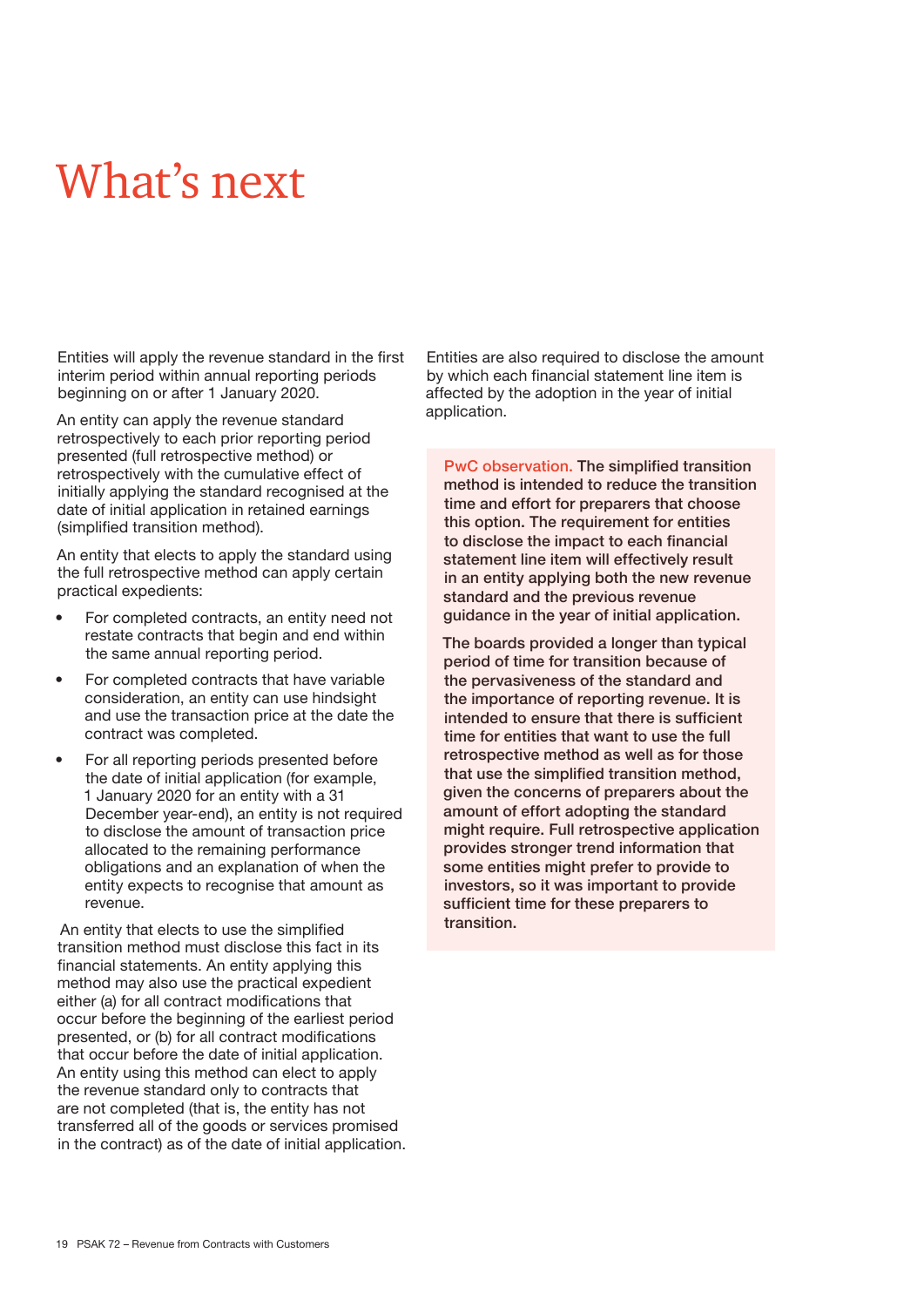### What's next

Entities will apply the revenue standard in the first interim period within annual reporting periods beginning on or after 1 January 2020.

An entity can apply the revenue standard retrospectively to each prior reporting period presented (full retrospective method) or retrospectively with the cumulative effect of initially applying the standard recognised at the date of initial application in retained earnings (simplified transition method).

An entity that elects to apply the standard using the full retrospective method can apply certain practical expedients:

- For completed contracts, an entity need not restate contracts that begin and end within the same annual reporting period.
- For completed contracts that have variable consideration, an entity can use hindsight and use the transaction price at the date the contract was completed.
- For all reporting periods presented before the date of initial application (for example, 1 January 2020 for an entity with a 31 December year-end), an entity is not required to disclose the amount of transaction price allocated to the remaining performance obligations and an explanation of when the entity expects to recognise that amount as revenue.

 An entity that elects to use the simplified transition method must disclose this fact in its financial statements. An entity applying this method may also use the practical expedient either (a) for all contract modifications that occur before the beginning of the earliest period presented, or (b) for all contract modifications that occur before the date of initial application. An entity using this method can elect to apply the revenue standard only to contracts that are not completed (that is, the entity has not transferred all of the goods or services promised in the contract) as of the date of initial application. Entities are also required to disclose the amount by which each financial statement line item is affected by the adoption in the year of initial application.

PwC observation. The simplified transition method is intended to reduce the transition time and effort for preparers that choose this option. The requirement for entities to disclose the impact to each financial statement line item will effectively result in an entity applying both the new revenue standard and the previous revenue guidance in the year of initial application.

The boards provided a longer than typical period of time for transition because of the pervasiveness of the standard and the importance of reporting revenue. It is intended to ensure that there is sufficient time for entities that want to use the full retrospective method as well as for those that use the simplified transition method, given the concerns of preparers about the amount of effort adopting the standard might require. Full retrospective application provides stronger trend information that some entities might prefer to provide to investors, so it was important to provide sufficient time for these preparers to transition.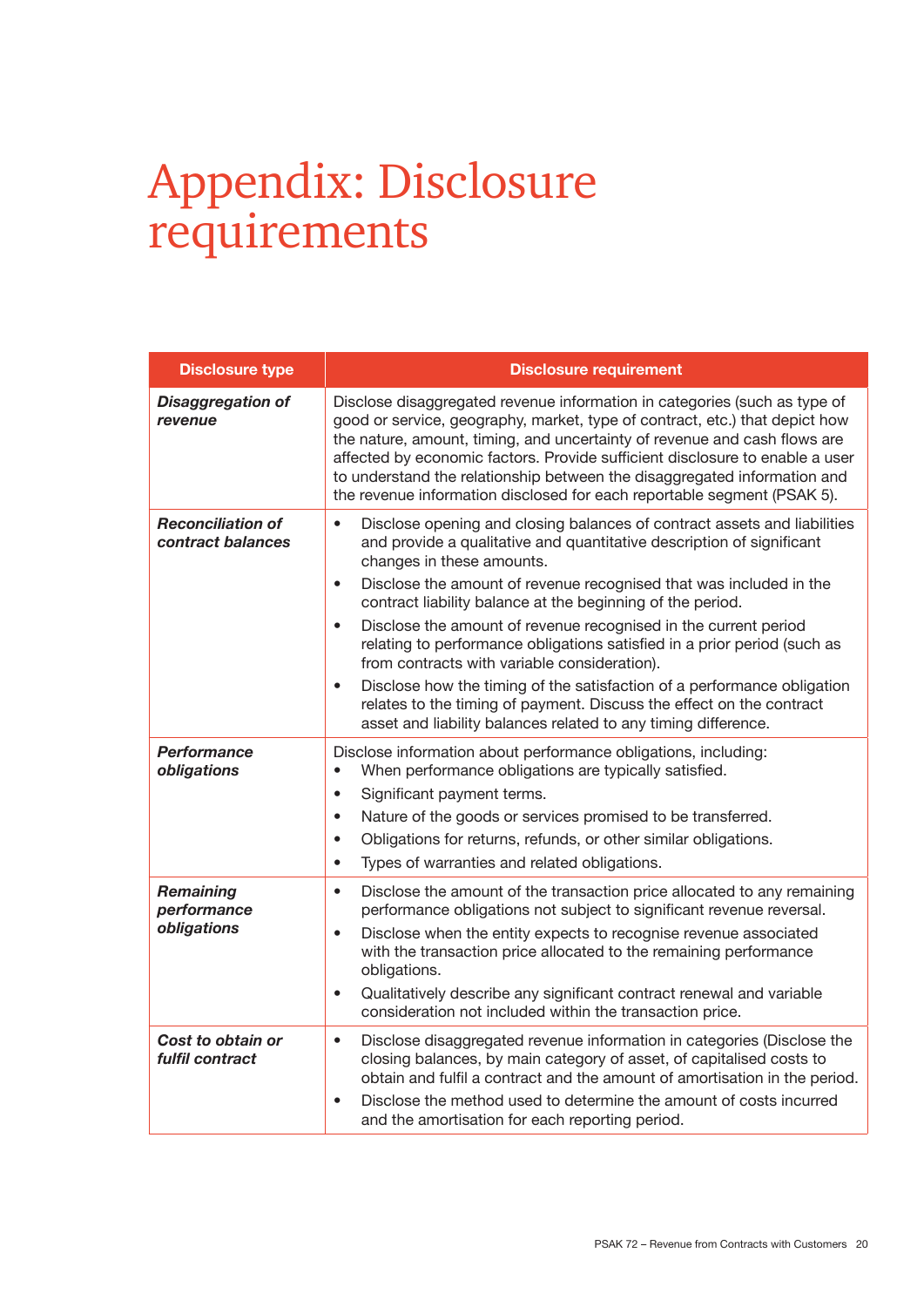### Appendix: Disclosure requirements

| <b>Disclosure type</b>                        | <b>Disclosure requirement</b>                                                                                                                                                                                                                                                                                                                                                                                                                                                                                                                                                                                                                                                                                                                                                              |
|-----------------------------------------------|--------------------------------------------------------------------------------------------------------------------------------------------------------------------------------------------------------------------------------------------------------------------------------------------------------------------------------------------------------------------------------------------------------------------------------------------------------------------------------------------------------------------------------------------------------------------------------------------------------------------------------------------------------------------------------------------------------------------------------------------------------------------------------------------|
| <b>Disaggregation of</b><br>revenue           | Disclose disaggregated revenue information in categories (such as type of<br>good or service, geography, market, type of contract, etc.) that depict how<br>the nature, amount, timing, and uncertainty of revenue and cash flows are<br>affected by economic factors. Provide sufficient disclosure to enable a user<br>to understand the relationship between the disaggregated information and<br>the revenue information disclosed for each reportable segment (PSAK 5).                                                                                                                                                                                                                                                                                                               |
| <b>Reconciliation of</b><br>contract balances | Disclose opening and closing balances of contract assets and liabilities<br>$\bullet$<br>and provide a qualitative and quantitative description of significant<br>changes in these amounts.<br>Disclose the amount of revenue recognised that was included in the<br>$\bullet$<br>contract liability balance at the beginning of the period.<br>Disclose the amount of revenue recognised in the current period<br>$\bullet$<br>relating to performance obligations satisfied in a prior period (such as<br>from contracts with variable consideration).<br>Disclose how the timing of the satisfaction of a performance obligation<br>$\bullet$<br>relates to the timing of payment. Discuss the effect on the contract<br>asset and liability balances related to any timing difference. |
| Performance<br>obligations                    | Disclose information about performance obligations, including:<br>When performance obligations are typically satisfied.<br>$\bullet$<br>Significant payment terms.<br>$\bullet$<br>Nature of the goods or services promised to be transferred.<br>$\bullet$<br>Obligations for returns, refunds, or other similar obligations.<br>$\bullet$<br>Types of warranties and related obligations.<br>$\bullet$                                                                                                                                                                                                                                                                                                                                                                                   |
| Remaining<br>performance<br>obligations       | Disclose the amount of the transaction price allocated to any remaining<br>$\bullet$<br>performance obligations not subject to significant revenue reversal.<br>Disclose when the entity expects to recognise revenue associated<br>$\bullet$<br>with the transaction price allocated to the remaining performance<br>obligations.<br>Qualitatively describe any significant contract renewal and variable<br>$\bullet$<br>consideration not included within the transaction price.                                                                                                                                                                                                                                                                                                        |
| Cost to obtain or<br>fulfil contract          | Disclose disaggregated revenue information in categories (Disclose the<br>$\bullet$<br>closing balances, by main category of asset, of capitalised costs to<br>obtain and fulfil a contract and the amount of amortisation in the period.<br>Disclose the method used to determine the amount of costs incurred<br>$\bullet$<br>and the amortisation for each reporting period.                                                                                                                                                                                                                                                                                                                                                                                                            |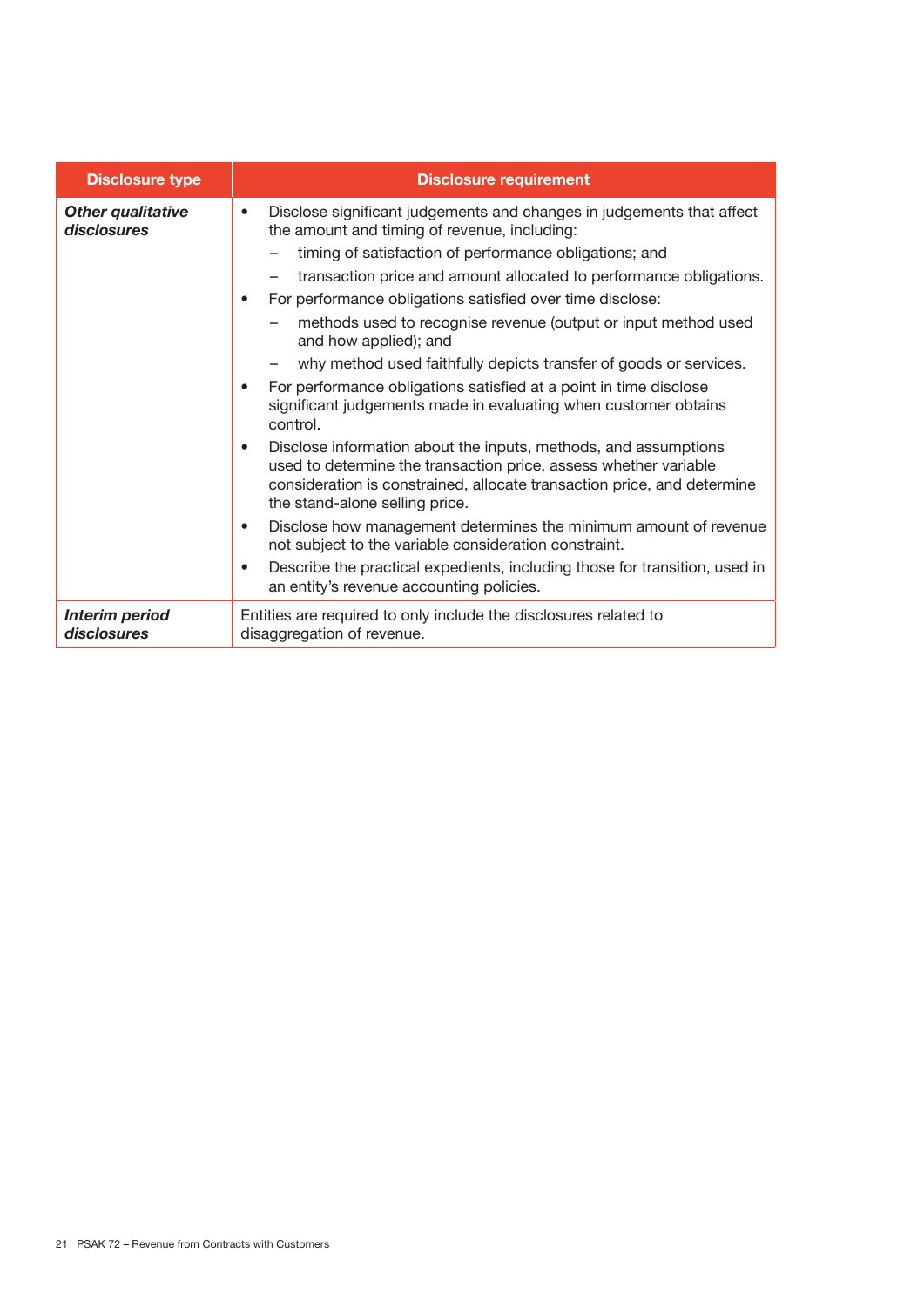| <b>Disclosure type</b>                  | <b>Disclosure requirement</b>                                                                                                                                                                                                                                                                                                                                                                                                                                                                                                                                                                                                                                                 |
|-----------------------------------------|-------------------------------------------------------------------------------------------------------------------------------------------------------------------------------------------------------------------------------------------------------------------------------------------------------------------------------------------------------------------------------------------------------------------------------------------------------------------------------------------------------------------------------------------------------------------------------------------------------------------------------------------------------------------------------|
| <b>Other qualitative</b><br>disclosures | Disclose significant judgements and changes in judgements that affect<br>$\bullet$<br>the amount and timing of revenue, including:<br>timing of satisfaction of performance obligations; and<br>transaction price and amount allocated to performance obligations.<br>For performance obligations satisfied over time disclose:<br>$\bullet$<br>methods used to recognise revenue (output or input method used<br>and how applied); and<br>why method used faithfully depicts transfer of goods or services.<br>For performance obligations satisfied at a point in time disclose<br>$\bullet$<br>significant judgements made in evaluating when customer obtains<br>control. |
|                                         | Disclose information about the inputs, methods, and assumptions<br>$\bullet$<br>used to determine the transaction price, assess whether variable<br>consideration is constrained, allocate transaction price, and determine<br>the stand-alone selling price.                                                                                                                                                                                                                                                                                                                                                                                                                 |
|                                         | Disclose how management determines the minimum amount of revenue<br>$\bullet$<br>not subject to the variable consideration constraint.                                                                                                                                                                                                                                                                                                                                                                                                                                                                                                                                        |
|                                         | Describe the practical expedients, including those for transition, used in<br>$\bullet$<br>an entity's revenue accounting policies.                                                                                                                                                                                                                                                                                                                                                                                                                                                                                                                                           |
| <b>Interim period</b><br>disclosures    | Entities are required to only include the disclosures related to<br>disaggregation of revenue.                                                                                                                                                                                                                                                                                                                                                                                                                                                                                                                                                                                |